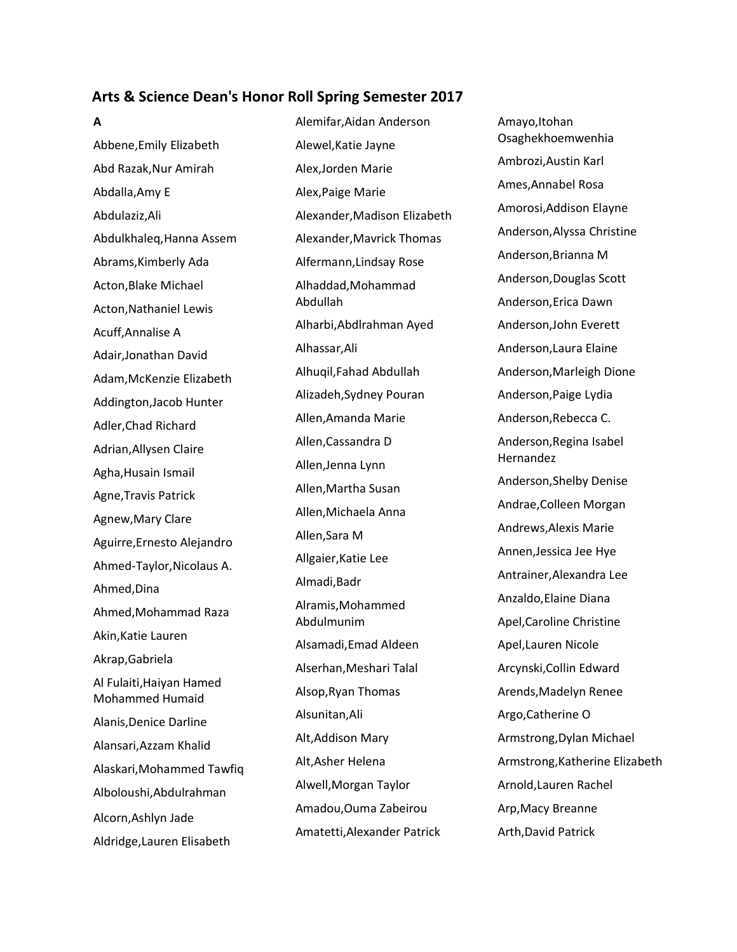## **Arts & Science Dean's Honor Roll Spring Semester 2017**

### **A**

Abbene,Emily Elizabeth Abd Razak,Nur Amirah Abdalla,Amy E Abdulaziz,Ali Abdulkhaleq,Hanna Assem Abrams,Kimberly Ada Acton,Blake Michael Acton,Nathaniel Lewis Acuff,Annalise A Adair,Jonathan David Adam,McKenzie Elizabeth Addington,Jacob Hunter Adler,Chad Richard Adrian,Allysen Claire Agha,Husain Ismail Agne,Travis Patrick Agnew,Mary Clare Aguirre,Ernesto Alejandro Ahmed-Taylor,Nicolaus A. Ahmed,Dina Ahmed,Mohammad Raza Akin,Katie Lauren Akrap,Gabriela Al Fulaiti,Haiyan Hamed Mohammed Humaid Alanis,Denice Darline Alansari,Azzam Khalid Alaskari,Mohammed Tawfiq Alboloushi,Abdulrahman Alcorn,Ashlyn Jade Aldridge,Lauren Elisabeth

Alemifar,Aidan Anderson Alewel,Katie Jayne Alex,Jorden Marie Alex,Paige Marie Alexander,Madison Elizabeth Alexander,Mavrick Thomas Alfermann,Lindsay Rose Alhaddad,Mohammad Abdullah Alharbi,Abdlrahman Ayed Alhassar,Ali Alhuqil,Fahad Abdullah Alizadeh,Sydney Pouran Allen,Amanda Marie Allen,Cassandra D Allen,Jenna Lynn Allen,Martha Susan Allen,Michaela Anna Allen,Sara M Allgaier,Katie Lee Almadi,Badr Alramis,Mohammed Abdulmunim Alsamadi,Emad Aldeen Alserhan,Meshari Talal Alsop,Ryan Thomas Alsunitan,Ali Alt,Addison Mary Alt,Asher Helena Alwell,Morgan Taylor Amadou,Ouma Zabeirou Amatetti,Alexander Patrick

Amayo,Itohan Osaghekhoemwenhia Ambrozi,Austin Karl Ames,Annabel Rosa Amorosi,Addison Elayne Anderson,Alyssa Christine Anderson,Brianna M Anderson,Douglas Scott Anderson,Erica Dawn Anderson,John Everett Anderson,Laura Elaine Anderson,Marleigh Dione Anderson,Paige Lydia Anderson,Rebecca C. Anderson,Regina Isabel Hernandez Anderson,Shelby Denise Andrae,Colleen Morgan Andrews,Alexis Marie Annen,Jessica Jee Hye Antrainer,Alexandra Lee Anzaldo,Elaine Diana Apel,Caroline Christine Apel,Lauren Nicole Arcynski,Collin Edward Arends,Madelyn Renee Argo,Catherine O Armstrong,Dylan Michael Armstrong,Katherine Elizabeth Arnold,Lauren Rachel Arp,Macy Breanne Arth,David Patrick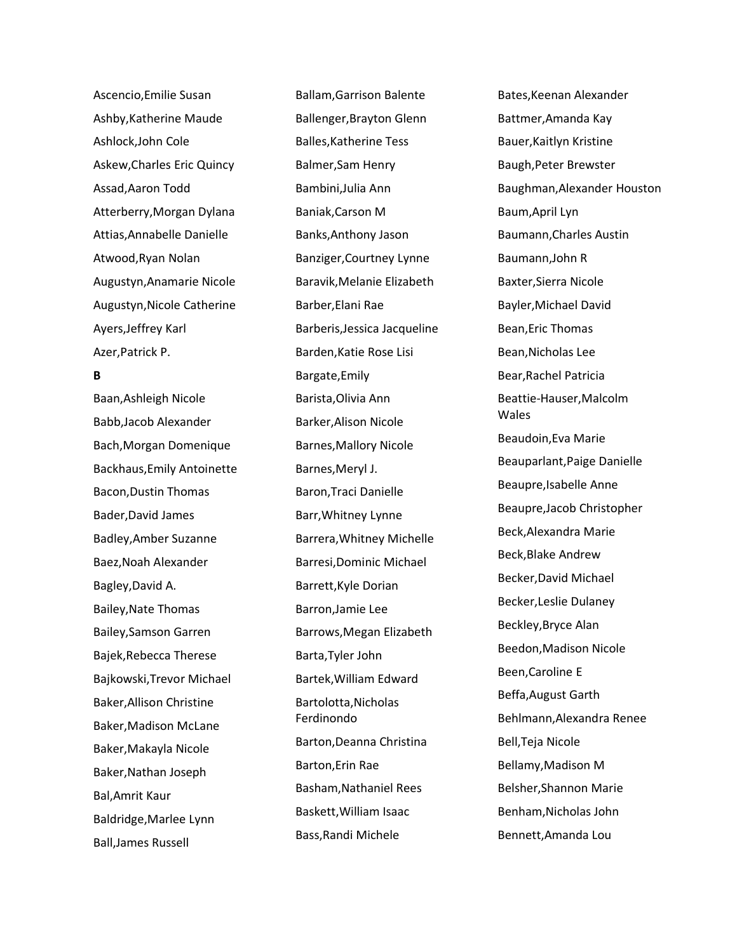Ascencio,Emilie Susan Ashby,Katherine Maude Ashlock,John Cole Askew,Charles Eric Quincy Assad,Aaron Todd Atterberry,Morgan Dylana Attias,Annabelle Danielle Atwood,Ryan Nolan Augustyn,Anamarie Nicole Augustyn,Nicole Catherine Ayers,Jeffrey Karl Azer,Patrick P.

## **B**

Baan,Ashleigh Nicole Babb,Jacob Alexander Bach,Morgan Domenique Backhaus,Emily Antoinette Bacon,Dustin Thomas Bader,David James Badley,Amber Suzanne Baez,Noah Alexander Bagley,David A. Bailey,Nate Thomas Bailey,Samson Garren Bajek,Rebecca Therese Bajkowski,Trevor Michael Baker,Allison Christine Baker,Madison McLane Baker,Makayla Nicole Baker,Nathan Joseph Bal,Amrit Kaur Baldridge,Marlee Lynn Ball,James Russell

Ballam,Garrison Balente Ballenger,Brayton Glenn Balles,Katherine Tess Balmer,Sam Henry Bambini,Julia Ann Baniak,Carson M Banks,Anthony Jason Banziger,Courtney Lynne Baravik,Melanie Elizabeth Barber,Elani Rae Barberis,Jessica Jacqueline Barden,Katie Rose Lisi Bargate,Emily Barista,Olivia Ann Barker,Alison Nicole Barnes,Mallory Nicole Barnes,Meryl J. Baron,Traci Danielle Barr,Whitney Lynne Barrera,Whitney Michelle Barresi,Dominic Michael Barrett,Kyle Dorian Barron,Jamie Lee Barrows,Megan Elizabeth Barta,Tyler John Bartek,William Edward Bartolotta,Nicholas Ferdinondo Barton,Deanna Christina Barton,Erin Rae Basham,Nathaniel Rees Baskett,William Isaac Bass,Randi Michele

Bates,Keenan Alexander Battmer,Amanda Kay Bauer,Kaitlyn Kristine Baugh,Peter Brewster Baughman,Alexander Houston Baum,April Lyn Baumann,Charles Austin Baumann,John R Baxter,Sierra Nicole Bayler,Michael David Bean,Eric Thomas Bean,Nicholas Lee Bear,Rachel Patricia Beattie-Hauser,Malcolm Wales Beaudoin,Eva Marie Beauparlant,Paige Danielle Beaupre,Isabelle Anne Beaupre,Jacob Christopher Beck,Alexandra Marie Beck,Blake Andrew Becker,David Michael Becker,Leslie Dulaney Beckley,Bryce Alan Beedon,Madison Nicole Been,Caroline E Beffa,August Garth Behlmann,Alexandra Renee Bell,Teja Nicole Bellamy,Madison M Belsher,Shannon Marie Benham,Nicholas John Bennett,Amanda Lou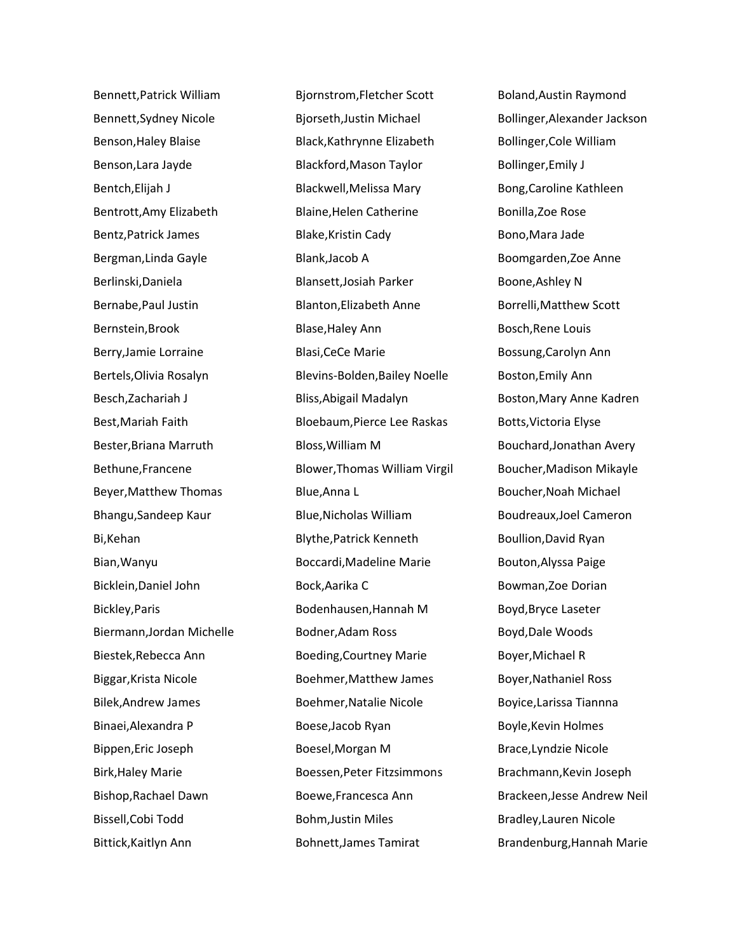Bennett,Patrick William Bennett,Sydney Nicole Benson,Haley Blaise Benson,Lara Jayde Bentch,Elijah J Bentrott,Amy Elizabeth Bentz,Patrick James Bergman,Linda Gayle Berlinski,Daniela Bernabe,Paul Justin Bernstein,Brook Berry,Jamie Lorraine Bertels,Olivia Rosalyn Besch,Zachariah J Best,Mariah Faith Bester,Briana Marruth Bethune,Francene Beyer,Matthew Thomas Bhangu,Sandeep Kaur Bi,Kehan Bian,Wanyu Bicklein,Daniel John Bickley,Paris Biermann,Jordan Michelle Biestek,Rebecca Ann Biggar,Krista Nicole Bilek,Andrew James Binaei,Alexandra P Bippen,Eric Joseph Birk,Haley Marie Bishop,Rachael Dawn Bissell,Cobi Todd Bittick,Kaitlyn Ann

Bjornstrom,Fletcher Scott Bjorseth,Justin Michael Black,Kathrynne Elizabeth Blackford,Mason Taylor Blackwell,Melissa Mary Blaine,Helen Catherine Blake,Kristin Cady Blank,Jacob A Blansett,Josiah Parker Blanton,Elizabeth Anne Blase,Haley Ann Blasi,CeCe Marie Blevins-Bolden,Bailey Noelle Bliss,Abigail Madalyn Bloebaum,Pierce Lee Raskas Bloss,William M Blower,Thomas William Virgil Blue,Anna L Blue,Nicholas William Blythe,Patrick Kenneth Boccardi,Madeline Marie Bock,Aarika C Bodenhausen,Hannah M Bodner,Adam Ross Boeding,Courtney Marie Boehmer,Matthew James Boehmer,Natalie Nicole Boese,Jacob Ryan Boesel,Morgan M Boessen,Peter Fitzsimmons Boewe,Francesca Ann Bohm,Justin Miles Bohnett,James Tamirat

Boland,Austin Raymond Bollinger,Alexander Jackson Bollinger,Cole William Bollinger,Emily J Bong,Caroline Kathleen Bonilla,Zoe Rose Bono,Mara Jade Boomgarden,Zoe Anne Boone,Ashley N Borrelli,Matthew Scott Bosch,Rene Louis Bossung,Carolyn Ann Boston,Emily Ann Boston,Mary Anne Kadren Botts,Victoria Elyse Bouchard,Jonathan Avery Boucher,Madison Mikayle Boucher,Noah Michael Boudreaux,Joel Cameron Boullion,David Ryan Bouton,Alyssa Paige Bowman,Zoe Dorian Boyd,Bryce Laseter Boyd,Dale Woods Boyer,Michael R Boyer,Nathaniel Ross Boyice,Larissa Tiannna Boyle,Kevin Holmes Brace,Lyndzie Nicole Brachmann,Kevin Joseph Brackeen,Jesse Andrew Neil Bradley,Lauren Nicole Brandenburg,Hannah Marie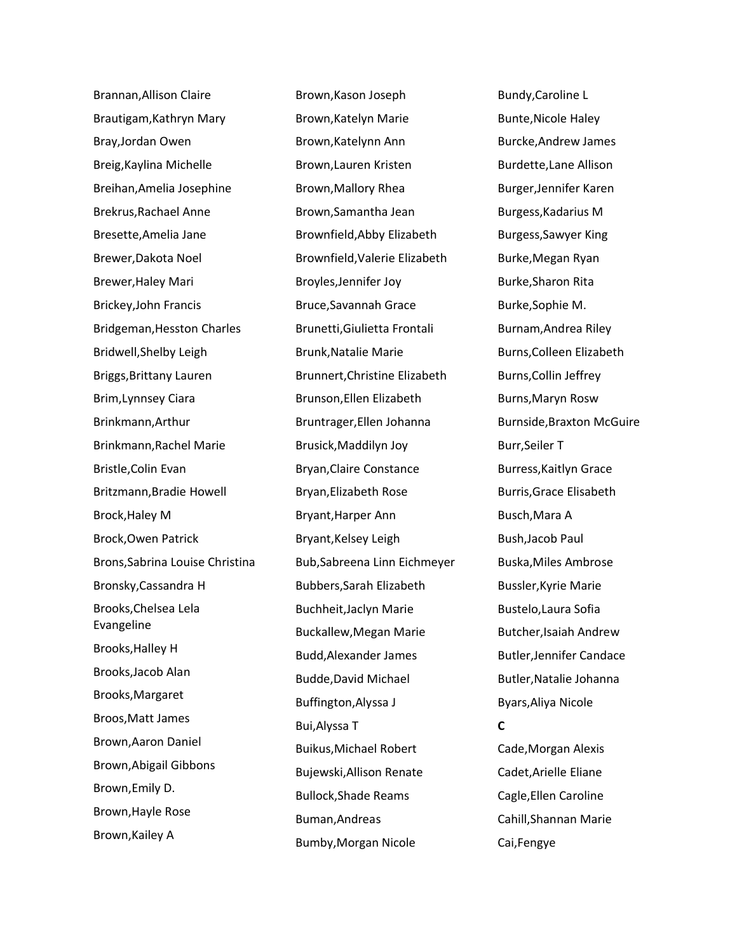Brannan,Allison Claire Brautigam,Kathryn Mary Bray,Jordan Owen Breig,Kaylina Michelle Breihan,Amelia Josephine Brekrus,Rachael Anne Bresette,Amelia Jane Brewer,Dakota Noel Brewer,Haley Mari Brickey,John Francis Bridgeman,Hesston Charles Bridwell,Shelby Leigh Briggs,Brittany Lauren Brim,Lynnsey Ciara Brinkmann,Arthur Brinkmann,Rachel Marie Bristle,Colin Evan Britzmann,Bradie Howell Brock,Haley M Brock,Owen Patrick Brons,Sabrina Louise Christina Bronsky,Cassandra H Brooks,Chelsea Lela Evangeline Brooks,Halley H Brooks,Jacob Alan Brooks,Margaret Broos,Matt James Brown,Aaron Daniel Brown,Abigail Gibbons Brown,Emily D. Brown,Hayle Rose Brown,Kailey A

Brown,Kason Joseph Brown,Katelyn Marie Brown,Katelynn Ann Brown,Lauren Kristen Brown,Mallory Rhea Brown,Samantha Jean Brownfield,Abby Elizabeth Brownfield,Valerie Elizabeth Broyles,Jennifer Joy Bruce,Savannah Grace Brunetti,Giulietta Frontali Brunk,Natalie Marie Brunnert,Christine Elizabeth Brunson,Ellen Elizabeth Bruntrager,Ellen Johanna Brusick,Maddilyn Joy Bryan,Claire Constance Bryan,Elizabeth Rose Bryant,Harper Ann Bryant,Kelsey Leigh Bub,Sabreena Linn Eichmeyer Bubbers,Sarah Elizabeth Buchheit,Jaclyn Marie Buckallew,Megan Marie Budd,Alexander James Budde,David Michael Buffington,Alyssa J Bui,Alyssa T Buikus,Michael Robert Bujewski,Allison Renate Bullock,Shade Reams Buman,Andreas Bumby,Morgan Nicole

Bundy,Caroline L Bunte,Nicole Haley Burcke,Andrew James Burdette,Lane Allison Burger,Jennifer Karen Burgess,Kadarius M Burgess,Sawyer King Burke,Megan Ryan Burke,Sharon Rita Burke,Sophie M. Burnam,Andrea Riley Burns,Colleen Elizabeth Burns,Collin Jeffrey Burns,Maryn Rosw Burnside,Braxton McGuire Burr,Seiler T Burress,Kaitlyn Grace Burris,Grace Elisabeth Busch,Mara A Bush,Jacob Paul Buska,Miles Ambrose Bussler,Kyrie Marie Bustelo,Laura Sofia Butcher,Isaiah Andrew Butler,Jennifer Candace Butler,Natalie Johanna Byars,Aliya Nicole **C** Cade,Morgan Alexis Cadet,Arielle Eliane Cagle,Ellen Caroline Cahill,Shannan Marie Cai,Fengye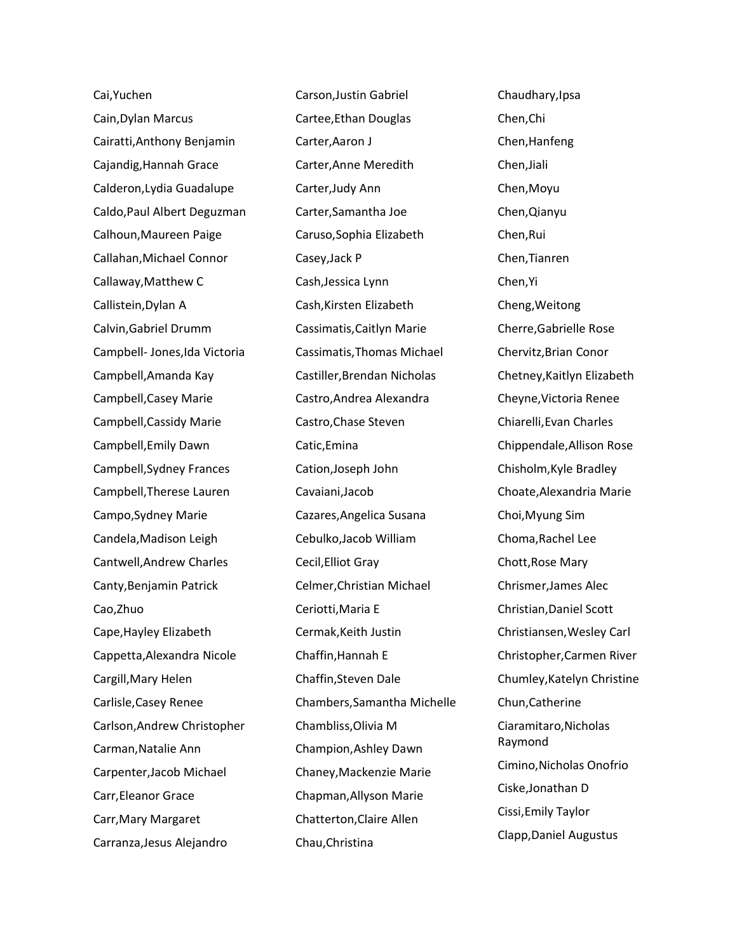Cai,Yuchen Cain,Dylan Marcus Cairatti,Anthony Benjamin Cajandig,Hannah Grace Calderon,Lydia Guadalupe Caldo,Paul Albert Deguzman Calhoun,Maureen Paige Callahan,Michael Connor Callaway,Matthew C Callistein,Dylan A Calvin,Gabriel Drumm Campbell- Jones,Ida Victoria Campbell,Amanda Kay Campbell,Casey Marie Campbell,Cassidy Marie Campbell,Emily Dawn Campbell,Sydney Frances Campbell,Therese Lauren Campo,Sydney Marie Candela,Madison Leigh Cantwell,Andrew Charles Canty,Benjamin Patrick Cao,Zhuo Cape,Hayley Elizabeth Cappetta,Alexandra Nicole Cargill,Mary Helen Carlisle,Casey Renee Carlson,Andrew Christopher Carman,Natalie Ann Carpenter,Jacob Michael Carr,Eleanor Grace Carr,Mary Margaret Carranza,Jesus Alejandro

Carson,Justin Gabriel Cartee,Ethan Douglas Carter,Aaron J Carter,Anne Meredith Carter,Judy Ann Carter,Samantha Joe Caruso,Sophia Elizabeth Casey,Jack P Cash,Jessica Lynn Cash,Kirsten Elizabeth Cassimatis,Caitlyn Marie Cassimatis,Thomas Michael Castiller,Brendan Nicholas Castro,Andrea Alexandra Castro,Chase Steven Catic,Emina Cation,Joseph John Cavaiani,Jacob Cazares,Angelica Susana Cebulko,Jacob William Cecil,Elliot Gray Celmer,Christian Michael Ceriotti,Maria E Cermak,Keith Justin Chaffin,Hannah E Chaffin,Steven Dale Chambers,Samantha Michelle Chambliss,Olivia M Champion,Ashley Dawn Chaney,Mackenzie Marie Chapman,Allyson Marie Chatterton,Claire Allen Chau,Christina

Chaudhary,Ipsa Chen,Chi Chen,Hanfeng Chen,Jiali Chen,Moyu Chen,Qianyu Chen,Rui Chen,Tianren Chen,Yi Cheng,Weitong Cherre,Gabrielle Rose Chervitz,Brian Conor Chetney,Kaitlyn Elizabeth Cheyne,Victoria Renee Chiarelli,Evan Charles Chippendale,Allison Rose Chisholm,Kyle Bradley Choate,Alexandria Marie Choi,Myung Sim Choma,Rachel Lee Chott,Rose Mary Chrismer,James Alec Christian,Daniel Scott Christiansen,Wesley Carl Christopher,Carmen River Chumley,Katelyn Christine Chun,Catherine Ciaramitaro,Nicholas Raymond Cimino,Nicholas Onofrio Ciske,Jonathan D Cissi,Emily Taylor Clapp,Daniel Augustus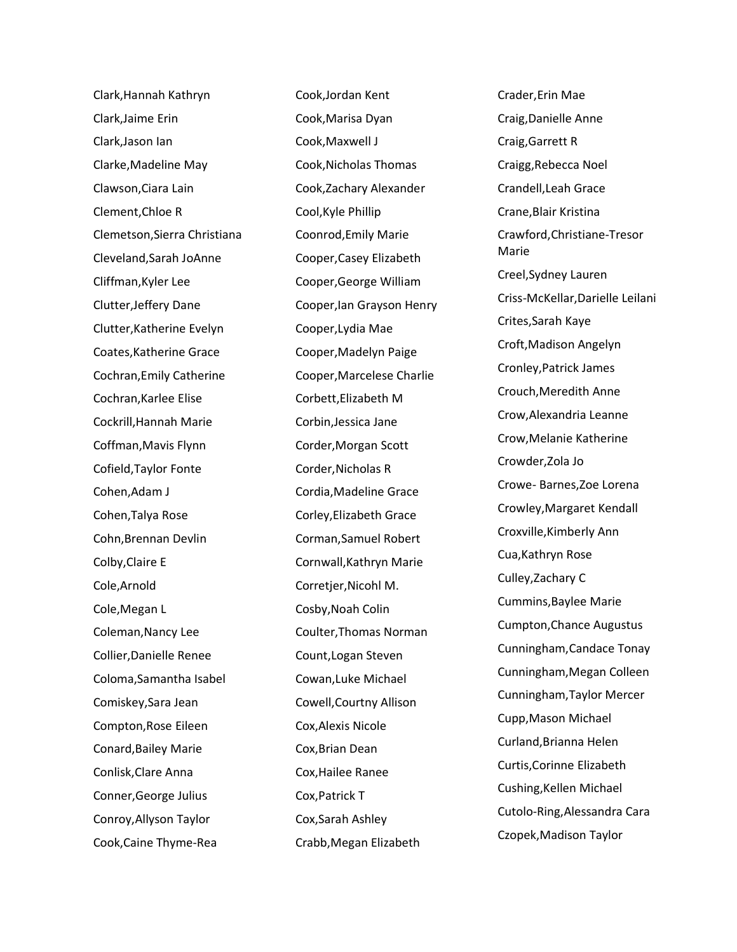Clark,Hannah Kathryn Clark,Jaime Erin Clark,Jason Ian Clarke,Madeline May Clawson,Ciara Lain Clement,Chloe R Clemetson,Sierra Christiana Cleveland,Sarah JoAnne Cliffman,Kyler Lee Clutter,Jeffery Dane Clutter,Katherine Evelyn Coates,Katherine Grace Cochran,Emily Catherine Cochran,Karlee Elise Cockrill,Hannah Marie Coffman,Mavis Flynn Cofield,Taylor Fonte Cohen,Adam J Cohen,Talya Rose Cohn,Brennan Devlin Colby,Claire E Cole,Arnold Cole,Megan L Coleman,Nancy Lee Collier,Danielle Renee Coloma,Samantha Isabel Comiskey,Sara Jean Compton,Rose Eileen Conard,Bailey Marie Conlisk,Clare Anna Conner,George Julius Conroy,Allyson Taylor Cook,Caine Thyme-Rea

Cook,Jordan Kent Cook,Marisa Dyan Cook,Maxwell J Cook,Nicholas Thomas Cook,Zachary Alexander Cool,Kyle Phillip Coonrod,Emily Marie Cooper,Casey Elizabeth Cooper,George William Cooper,Ian Grayson Henry Cooper,Lydia Mae Cooper,Madelyn Paige Cooper,Marcelese Charlie Corbett,Elizabeth M Corbin,Jessica Jane Corder,Morgan Scott Corder,Nicholas R Cordia,Madeline Grace Corley,Elizabeth Grace Corman,Samuel Robert Cornwall,Kathryn Marie Corretjer,Nicohl M. Cosby,Noah Colin Coulter,Thomas Norman Count,Logan Steven Cowan,Luke Michael Cowell,Courtny Allison Cox,Alexis Nicole Cox,Brian Dean Cox,Hailee Ranee Cox,Patrick T Cox,Sarah Ashley Crabb,Megan Elizabeth

Crader,Erin Mae Craig,Danielle Anne Craig,Garrett R Craigg,Rebecca Noel Crandell,Leah Grace Crane,Blair Kristina Crawford,Christiane-Tresor Marie Creel,Sydney Lauren Criss-McKellar,Darielle Leilani Crites,Sarah Kaye Croft,Madison Angelyn Cronley,Patrick James Crouch,Meredith Anne Crow,Alexandria Leanne Crow,Melanie Katherine Crowder,Zola Jo Crowe- Barnes,Zoe Lorena Crowley,Margaret Kendall Croxville,Kimberly Ann Cua,Kathryn Rose Culley,Zachary C Cummins,Baylee Marie Cumpton,Chance Augustus Cunningham,Candace Tonay Cunningham,Megan Colleen Cunningham,Taylor Mercer Cupp,Mason Michael Curland,Brianna Helen Curtis,Corinne Elizabeth Cushing,Kellen Michael Cutolo-Ring,Alessandra Cara Czopek,Madison Taylor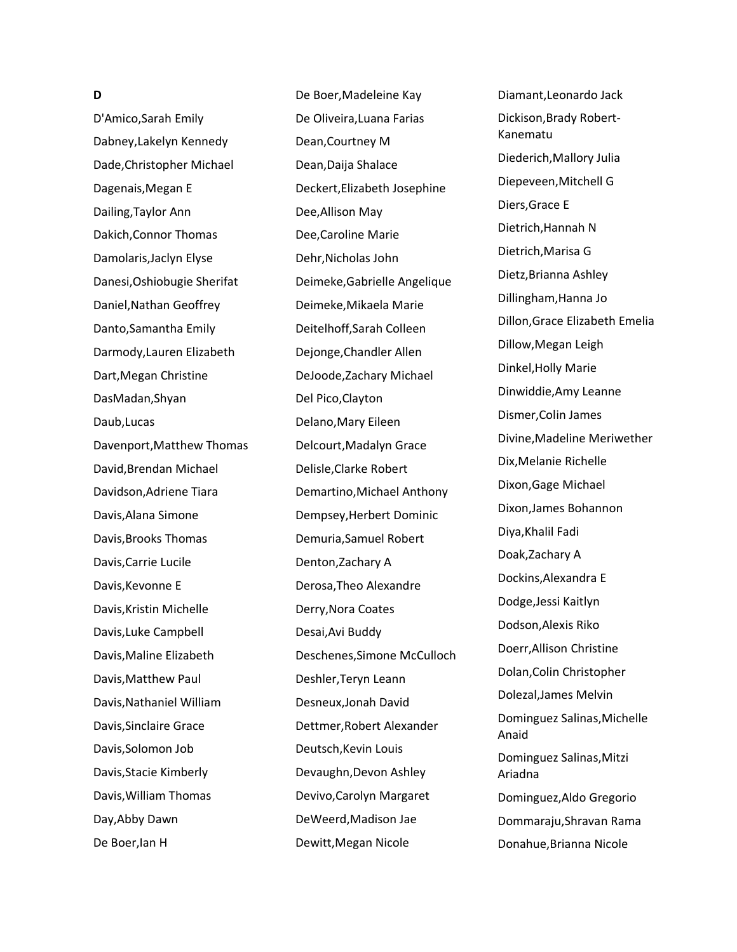#### **D**

D'Amico,Sarah Emily Dabney,Lakelyn Kennedy Dade,Christopher Michael Dagenais,Megan E Dailing,Taylor Ann Dakich,Connor Thomas Damolaris,Jaclyn Elyse Danesi,Oshiobugie Sherifat Daniel,Nathan Geoffrey Danto,Samantha Emily Darmody,Lauren Elizabeth Dart,Megan Christine DasMadan,Shyan Daub,Lucas Davenport,Matthew Thomas David,Brendan Michael Davidson,Adriene Tiara Davis,Alana Simone Davis,Brooks Thomas Davis,Carrie Lucile Davis,Kevonne E Davis,Kristin Michelle Davis,Luke Campbell Davis,Maline Elizabeth Davis,Matthew Paul Davis,Nathaniel William Davis,Sinclaire Grace Davis,Solomon Job Davis,Stacie Kimberly Davis,William Thomas Day,Abby Dawn De Boer,Ian H

De Boer,Madeleine Kay De Oliveira,Luana Farias Dean,Courtney M Dean,Daija Shalace Deckert,Elizabeth Josephine Dee,Allison May Dee,Caroline Marie Dehr,Nicholas John Deimeke,Gabrielle Angelique Deimeke,Mikaela Marie Deitelhoff,Sarah Colleen Dejonge,Chandler Allen DeJoode,Zachary Michael Del Pico,Clayton Delano,Mary Eileen Delcourt,Madalyn Grace Delisle,Clarke Robert Demartino,Michael Anthony Dempsey,Herbert Dominic Demuria,Samuel Robert Denton,Zachary A Derosa,Theo Alexandre Derry,Nora Coates Desai,Avi Buddy Deschenes,Simone McCulloch Deshler,Teryn Leann Desneux,Jonah David Dettmer,Robert Alexander Deutsch,Kevin Louis Devaughn,Devon Ashley Devivo,Carolyn Margaret DeWeerd,Madison Jae Dewitt,Megan Nicole

Diamant,Leonardo Jack Dickison,Brady Robert-Kanematu Diederich,Mallory Julia Diepeveen,Mitchell G Diers,Grace E Dietrich,Hannah N Dietrich,Marisa G Dietz,Brianna Ashley Dillingham,Hanna Jo Dillon,Grace Elizabeth Emelia Dillow,Megan Leigh Dinkel,Holly Marie Dinwiddie,Amy Leanne Dismer,Colin James Divine,Madeline Meriwether Dix,Melanie Richelle Dixon,Gage Michael Dixon,James Bohannon Diya,Khalil Fadi Doak,Zachary A Dockins,Alexandra E Dodge,Jessi Kaitlyn Dodson,Alexis Riko Doerr,Allison Christine Dolan,Colin Christopher Dolezal,James Melvin Dominguez Salinas,Michelle Anaid Dominguez Salinas,Mitzi Ariadna Dominguez,Aldo Gregorio Dommaraju,Shravan Rama Donahue,Brianna Nicole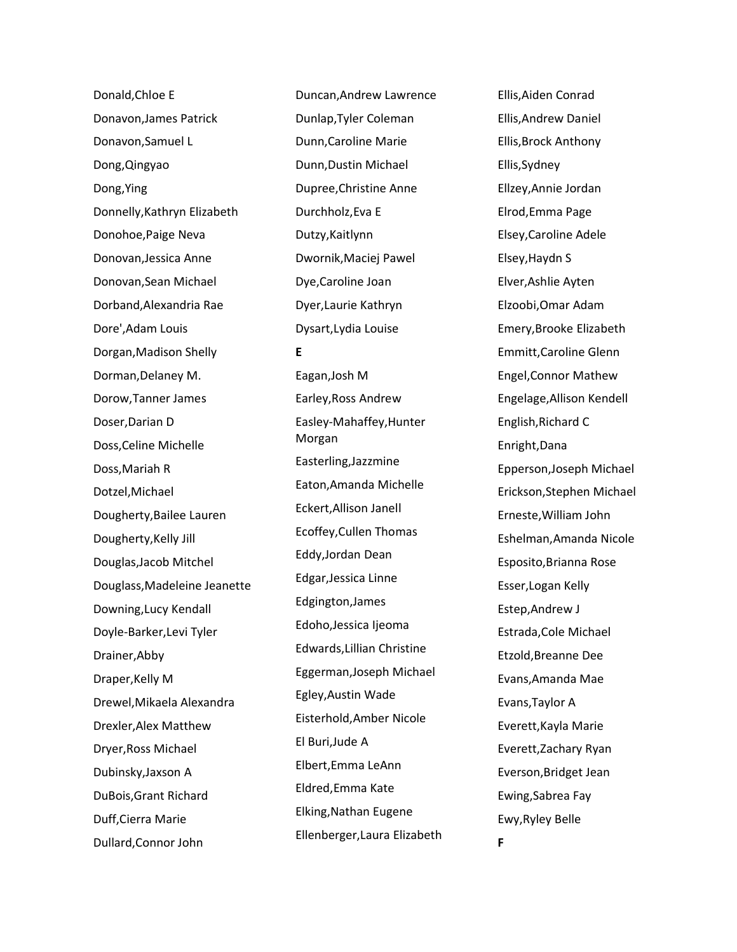Donald,Chloe E Donavon,James Patrick Donavon,Samuel L Dong,Qingyao Dong,Ying Donnelly,Kathryn Elizabeth Donohoe,Paige Neva Donovan,Jessica Anne Donovan,Sean Michael Dorband,Alexandria Rae Dore',Adam Louis Dorgan,Madison Shelly Dorman,Delaney M. Dorow,Tanner James Doser,Darian D Doss,Celine Michelle Doss,Mariah R Dotzel,Michael Dougherty,Bailee Lauren Dougherty,Kelly Jill Douglas,Jacob Mitchel Douglass,Madeleine Jeanette Downing,Lucy Kendall Doyle-Barker,Levi Tyler Drainer,Abby Draper,Kelly M Drewel,Mikaela Alexandra Drexler,Alex Matthew Dryer,Ross Michael Dubinsky,Jaxson A DuBois,Grant Richard Duff,Cierra Marie Dullard,Connor John

Duncan,Andrew Lawrence Dunlap,Tyler Coleman Dunn,Caroline Marie Dunn,Dustin Michael Dupree,Christine Anne Durchholz,Eva E Dutzy,Kaitlynn Dwornik,Maciej Pawel Dye,Caroline Joan Dyer,Laurie Kathryn Dysart,Lydia Louise **E** Eagan,Josh M Earley,Ross Andrew Easley-Mahaffey,Hunter Morgan Easterling,Jazzmine Eaton,Amanda Michelle Eckert,Allison Janell Ecoffey,Cullen Thomas Eddy,Jordan Dean Edgar,Jessica Linne Edgington,James Edoho,Jessica Ijeoma Edwards,Lillian Christine Eggerman,Joseph Michael Egley,Austin Wade Eisterhold,Amber Nicole El Buri,Jude A Elbert,Emma LeAnn Eldred,Emma Kate Elking,Nathan Eugene Ellenberger,Laura Elizabeth Ellis,Aiden Conrad Ellis,Andrew Daniel Ellis,Brock Anthony Ellis,Sydney Ellzey,Annie Jordan Elrod,Emma Page Elsey,Caroline Adele Elsey,Haydn S Elver,Ashlie Ayten Elzoobi,Omar Adam Emery,Brooke Elizabeth Emmitt,Caroline Glenn Engel,Connor Mathew Engelage,Allison Kendell English,Richard C Enright,Dana Epperson,Joseph Michael Erickson,Stephen Michael Erneste,William John Eshelman,Amanda Nicole Esposito,Brianna Rose Esser,Logan Kelly Estep,Andrew J Estrada,Cole Michael Etzold,Breanne Dee Evans,Amanda Mae Evans,Taylor A Everett,Kayla Marie Everett,Zachary Ryan Everson,Bridget Jean Ewing,Sabrea Fay Ewy,Ryley Belle **F**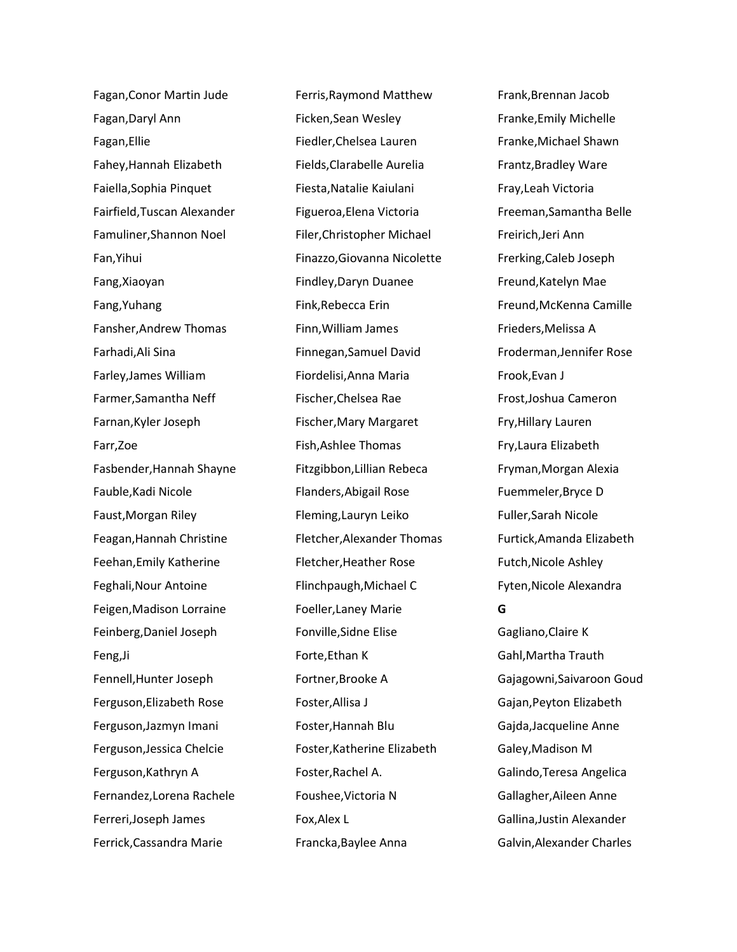Fagan,Conor Martin Jude Fagan,Daryl Ann Fagan,Ellie Fahey,Hannah Elizabeth Faiella,Sophia Pinquet Fairfield,Tuscan Alexander Famuliner,Shannon Noel Fan,Yihui Fang,Xiaoyan Fang,Yuhang Fansher,Andrew Thomas Farhadi,Ali Sina Farley,James William Farmer,Samantha Neff Farnan,Kyler Joseph Farr,Zoe Fasbender,Hannah Shayne Fauble,Kadi Nicole Faust,Morgan Riley Feagan,Hannah Christine Feehan,Emily Katherine Feghali,Nour Antoine Feigen,Madison Lorraine Feinberg,Daniel Joseph Feng,Ji Fennell,Hunter Joseph Ferguson,Elizabeth Rose Ferguson,Jazmyn Imani Ferguson,Jessica Chelcie Ferguson,Kathryn A Fernandez,Lorena Rachele Ferreri,Joseph James Ferrick,Cassandra Marie

Ferris,Raymond Matthew Ficken,Sean Wesley Fiedler,Chelsea Lauren Fields,Clarabelle Aurelia Fiesta,Natalie Kaiulani Figueroa,Elena Victoria Filer,Christopher Michael Finazzo,Giovanna Nicolette Findley,Daryn Duanee Fink,Rebecca Erin Finn,William James Finnegan,Samuel David Fiordelisi,Anna Maria Fischer,Chelsea Rae Fischer,Mary Margaret Fish,Ashlee Thomas Fitzgibbon,Lillian Rebeca Flanders,Abigail Rose Fleming,Lauryn Leiko Fletcher,Alexander Thomas Fletcher,Heather Rose Flinchpaugh,Michael C Foeller,Laney Marie Fonville,Sidne Elise Forte,Ethan K Fortner,Brooke A Foster,Allisa J Foster,Hannah Blu Foster,Katherine Elizabeth Foster,Rachel A. Foushee,Victoria N Fox,Alex L Francka,Baylee Anna

Frank,Brennan Jacob Franke,Emily Michelle Franke,Michael Shawn Frantz,Bradley Ware Fray,Leah Victoria Freeman,Samantha Belle Freirich,Jeri Ann Frerking,Caleb Joseph Freund,Katelyn Mae Freund,McKenna Camille Frieders,Melissa A Froderman,Jennifer Rose Frook,Evan J Frost,Joshua Cameron Fry,Hillary Lauren Fry,Laura Elizabeth Fryman,Morgan Alexia Fuemmeler,Bryce D Fuller,Sarah Nicole Furtick,Amanda Elizabeth Futch,Nicole Ashley Fyten,Nicole Alexandra **G** Gagliano,Claire K Gahl,Martha Trauth Gajagowni,Saivaroon Goud Gajan,Peyton Elizabeth Gajda,Jacqueline Anne Galey,Madison M Galindo,Teresa Angelica Gallagher,Aileen Anne Gallina,Justin Alexander Galvin,Alexander Charles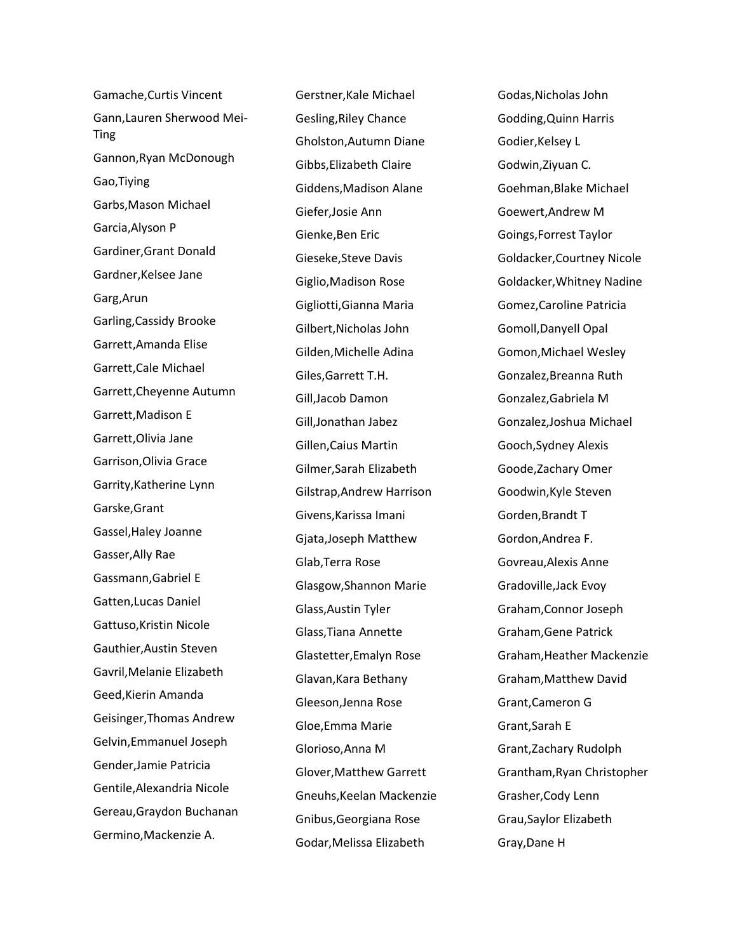Gamache,Curtis Vincent Gann,Lauren Sherwood Mei-Ting Gannon,Ryan McDonough Gao,Tiying Garbs,Mason Michael Garcia,Alyson P Gardiner,Grant Donald Gardner,Kelsee Jane Garg,Arun Garling,Cassidy Brooke Garrett,Amanda Elise Garrett,Cale Michael Garrett,Cheyenne Autumn Garrett,Madison E Garrett,Olivia Jane Garrison,Olivia Grace Garrity,Katherine Lynn Garske,Grant Gassel,Haley Joanne Gasser,Ally Rae Gassmann,Gabriel E Gatten,Lucas Daniel Gattuso,Kristin Nicole Gauthier,Austin Steven Gavril,Melanie Elizabeth Geed,Kierin Amanda Geisinger,Thomas Andrew Gelvin,Emmanuel Joseph Gender,Jamie Patricia Gentile,Alexandria Nicole Gereau,Graydon Buchanan Germino,Mackenzie A.

Gerstner,Kale Michael Gesling,Riley Chance Gholston,Autumn Diane Gibbs,Elizabeth Claire Giddens,Madison Alane Giefer,Josie Ann Gienke,Ben Eric Gieseke,Steve Davis Giglio,Madison Rose Gigliotti,Gianna Maria Gilbert,Nicholas John Gilden,Michelle Adina Giles,Garrett T.H. Gill,Jacob Damon Gill,Jonathan Jabez Gillen,Caius Martin Gilmer,Sarah Elizabeth Gilstrap,Andrew Harrison Givens,Karissa Imani Gjata,Joseph Matthew Glab,Terra Rose Glasgow,Shannon Marie Glass,Austin Tyler Glass,Tiana Annette Glastetter,Emalyn Rose Glavan,Kara Bethany Gleeson,Jenna Rose Gloe,Emma Marie Glorioso,Anna M Glover,Matthew Garrett Gneuhs,Keelan Mackenzie Gnibus,Georgiana Rose Godar,Melissa Elizabeth

Godas,Nicholas John Godding,Quinn Harris Godier,Kelsey L Godwin,Ziyuan C. Goehman,Blake Michael Goewert,Andrew M Goings,Forrest Taylor Goldacker,Courtney Nicole Goldacker,Whitney Nadine Gomez,Caroline Patricia Gomoll,Danyell Opal Gomon,Michael Wesley Gonzalez,Breanna Ruth Gonzalez,Gabriela M Gonzalez,Joshua Michael Gooch,Sydney Alexis Goode,Zachary Omer Goodwin,Kyle Steven Gorden,Brandt T Gordon,Andrea F. Govreau,Alexis Anne Gradoville,Jack Evoy Graham,Connor Joseph Graham,Gene Patrick Graham,Heather Mackenzie Graham,Matthew David Grant,Cameron G Grant,Sarah E Grant,Zachary Rudolph Grantham,Ryan Christopher Grasher,Cody Lenn Grau,Saylor Elizabeth Gray,Dane H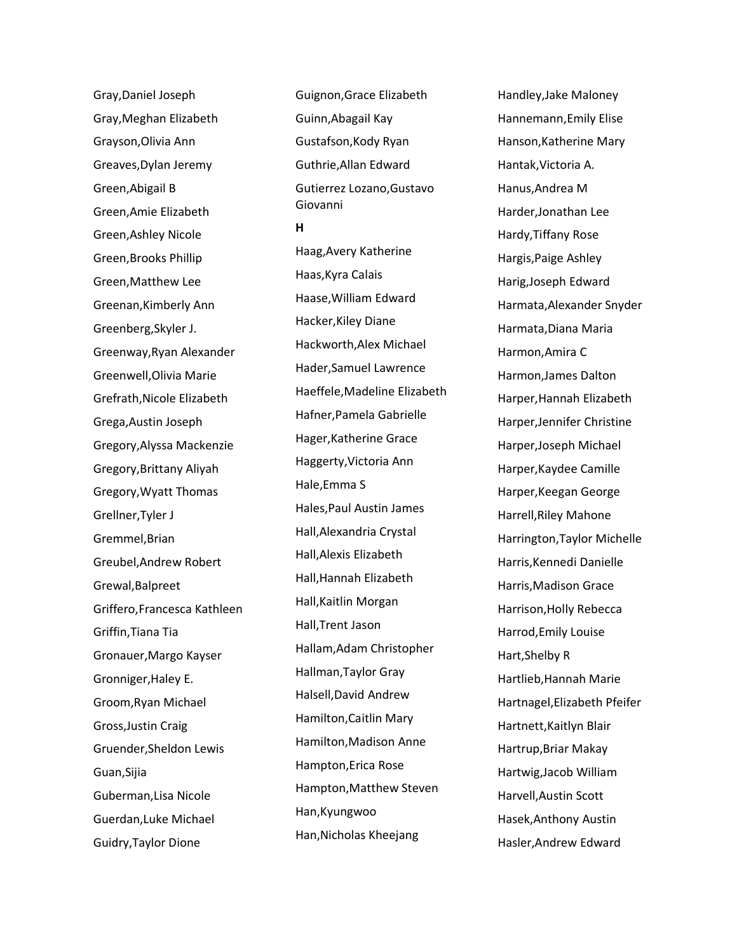Gray,Daniel Joseph Gray,Meghan Elizabeth Grayson,Olivia Ann Greaves,Dylan Jeremy Green,Abigail B Green,Amie Elizabeth Green,Ashley Nicole Green,Brooks Phillip Green,Matthew Lee Greenan,Kimberly Ann Greenberg,Skyler J. Greenway,Ryan Alexander Greenwell,Olivia Marie Grefrath,Nicole Elizabeth Grega,Austin Joseph Gregory,Alyssa Mackenzie Gregory,Brittany Aliyah Gregory,Wyatt Thomas Grellner,Tyler J Gremmel,Brian Greubel,Andrew Robert Grewal,Balpreet Griffero,Francesca Kathleen Griffin,Tiana Tia Gronauer,Margo Kayser Gronniger,Haley E. Groom,Ryan Michael Gross,Justin Craig Gruender,Sheldon Lewis Guan,Sijia Guberman,Lisa Nicole Guerdan,Luke Michael Guidry,Taylor Dione

Guignon,Grace Elizabeth Guinn,Abagail Kay Gustafson,Kody Ryan Guthrie,Allan Edward Gutierrez Lozano,Gustavo Giovanni **H** Haag,Avery Katherine Haas,Kyra Calais Haase,William Edward Hacker,Kiley Diane Hackworth,Alex Michael Hader,Samuel Lawrence Haeffele,Madeline Elizabeth Hafner,Pamela Gabrielle Hager,Katherine Grace Haggerty,Victoria Ann Hale,Emma S Hales,Paul Austin James Hall,Alexandria Crystal Hall,Alexis Elizabeth Hall,Hannah Elizabeth Hall,Kaitlin Morgan Hall,Trent Jason Hallam,Adam Christopher Hallman,Taylor Gray Halsell,David Andrew Hamilton,Caitlin Mary Hamilton,Madison Anne Hampton,Erica Rose Hampton,Matthew Steven

Han,Kyungwoo

Han,Nicholas Kheejang

Handley,Jake Maloney Hannemann,Emily Elise Hanson,Katherine Mary Hantak,Victoria A. Hanus,Andrea M Harder,Jonathan Lee Hardy,Tiffany Rose Hargis,Paige Ashley Harig,Joseph Edward Harmata,Alexander Snyder Harmata,Diana Maria Harmon,Amira C Harmon,James Dalton Harper,Hannah Elizabeth Harper,Jennifer Christine Harper,Joseph Michael Harper,Kaydee Camille Harper,Keegan George Harrell,Riley Mahone Harrington,Taylor Michelle Harris,Kennedi Danielle Harris,Madison Grace Harrison,Holly Rebecca Harrod,Emily Louise Hart,Shelby R Hartlieb,Hannah Marie Hartnagel,Elizabeth Pfeifer Hartnett,Kaitlyn Blair Hartrup,Briar Makay Hartwig,Jacob William Harvell,Austin Scott Hasek,Anthony Austin Hasler,Andrew Edward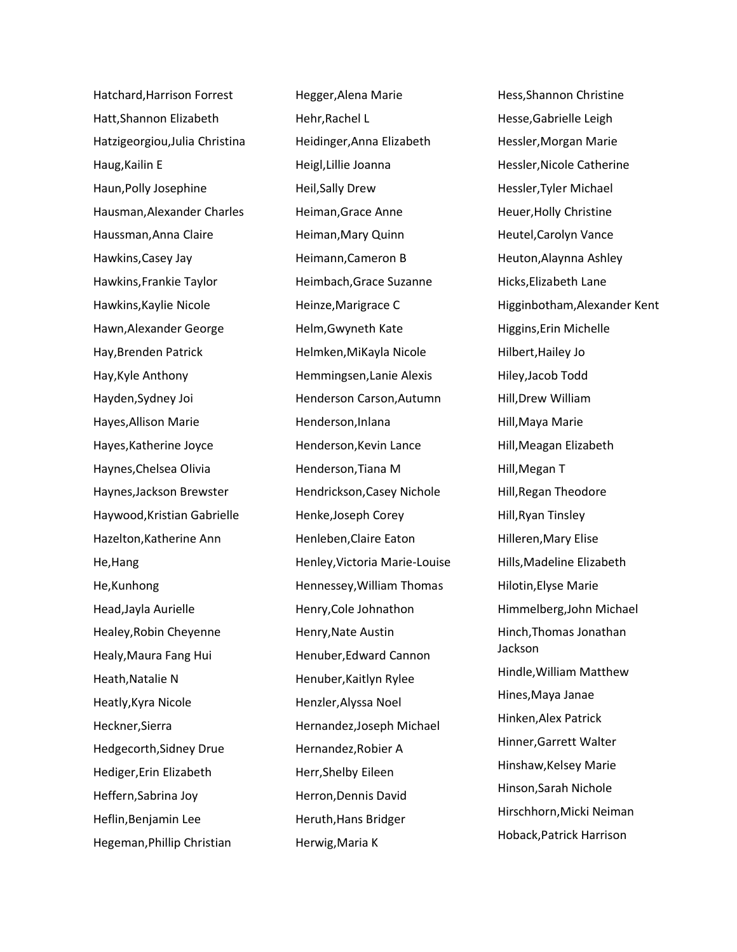Hatchard,Harrison Forrest Hatt,Shannon Elizabeth Hatzigeorgiou,Julia Christina Haug,Kailin E Haun,Polly Josephine Hausman,Alexander Charles Haussman,Anna Claire Hawkins,Casey Jay Hawkins,Frankie Taylor Hawkins,Kaylie Nicole Hawn,Alexander George Hay,Brenden Patrick Hay,Kyle Anthony Hayden,Sydney Joi Hayes,Allison Marie Hayes,Katherine Joyce Haynes,Chelsea Olivia Haynes,Jackson Brewster Haywood,Kristian Gabrielle Hazelton,Katherine Ann He,Hang He,Kunhong Head,Jayla Aurielle Healey,Robin Cheyenne Healy,Maura Fang Hui Heath,Natalie N Heatly,Kyra Nicole Heckner,Sierra Hedgecorth,Sidney Drue Hediger,Erin Elizabeth Heffern,Sabrina Joy Heflin,Benjamin Lee Hegeman,Phillip Christian

Hegger,Alena Marie Hehr,Rachel L Heidinger,Anna Elizabeth Heigl,Lillie Joanna Heil,Sally Drew Heiman,Grace Anne Heiman,Mary Quinn Heimann,Cameron B Heimbach,Grace Suzanne Heinze,Marigrace C Helm,Gwyneth Kate Helmken,MiKayla Nicole Hemmingsen,Lanie Alexis Henderson Carson,Autumn Henderson,Inlana Henderson,Kevin Lance Henderson,Tiana M Hendrickson,Casey Nichole Henke,Joseph Corey Henleben,Claire Eaton Henley,Victoria Marie-Louise Hennessey,William Thomas Henry,Cole Johnathon Henry,Nate Austin Henuber,Edward Cannon Henuber,Kaitlyn Rylee Henzler,Alyssa Noel Hernandez,Joseph Michael Hernandez,Robier A Herr,Shelby Eileen Herron,Dennis David Heruth,Hans Bridger Herwig,Maria K

Hess,Shannon Christine Hesse,Gabrielle Leigh Hessler,Morgan Marie Hessler,Nicole Catherine Hessler,Tyler Michael Heuer,Holly Christine Heutel,Carolyn Vance Heuton,Alaynna Ashley Hicks,Elizabeth Lane Higginbotham,Alexander Kent Higgins,Erin Michelle Hilbert,Hailey Jo Hiley,Jacob Todd Hill,Drew William Hill,Maya Marie Hill,Meagan Elizabeth Hill,Megan T Hill,Regan Theodore Hill,Ryan Tinsley Hilleren,Mary Elise Hills,Madeline Elizabeth Hilotin,Elyse Marie Himmelberg,John Michael Hinch,Thomas Jonathan Jackson Hindle,William Matthew Hines,Maya Janae Hinken,Alex Patrick Hinner,Garrett Walter Hinshaw,Kelsey Marie Hinson,Sarah Nichole Hirschhorn,Micki Neiman Hoback,Patrick Harrison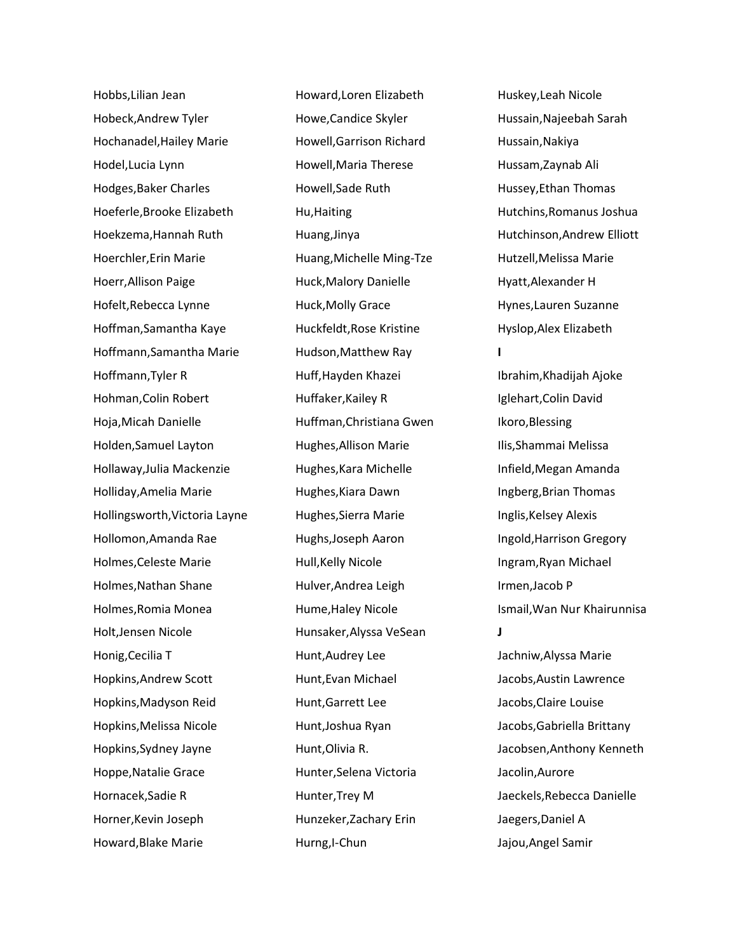Hobbs,Lilian Jean Hobeck,Andrew Tyler Hochanadel,Hailey Marie Hodel,Lucia Lynn Hodges,Baker Charles Hoeferle,Brooke Elizabeth Hoekzema,Hannah Ruth Hoerchler,Erin Marie Hoerr,Allison Paige Hofelt,Rebecca Lynne Hoffman,Samantha Kaye Hoffmann,Samantha Marie Hoffmann,Tyler R Hohman,Colin Robert Hoja,Micah Danielle Holden,Samuel Layton Hollaway,Julia Mackenzie Holliday,Amelia Marie Hollingsworth,Victoria Layne Hollomon,Amanda Rae Holmes,Celeste Marie Holmes,Nathan Shane Holmes,Romia Monea Holt,Jensen Nicole Honig,Cecilia T Hopkins,Andrew Scott Hopkins,Madyson Reid Hopkins,Melissa Nicole Hopkins,Sydney Jayne Hoppe,Natalie Grace Hornacek,Sadie R Horner,Kevin Joseph Howard,Blake Marie

Howard,Loren Elizabeth Howe,Candice Skyler Howell,Garrison Richard Howell,Maria Therese Howell,Sade Ruth Hu,Haiting Huang,Jinya Huang,Michelle Ming-Tze Huck,Malory Danielle Huck,Molly Grace Huckfeldt,Rose Kristine Hudson,Matthew Ray Huff,Hayden Khazei Huffaker,Kailey R Huffman,Christiana Gwen Hughes,Allison Marie Hughes,Kara Michelle Hughes,Kiara Dawn Hughes,Sierra Marie Hughs,Joseph Aaron Hull,Kelly Nicole Hulver,Andrea Leigh Hume,Haley Nicole Hunsaker,Alyssa VeSean Hunt,Audrey Lee Hunt,Evan Michael Hunt,Garrett Lee Hunt,Joshua Ryan Hunt,Olivia R. Hunter,Selena Victoria Hunter,Trey M Hunzeker,Zachary Erin Hurng,I-Chun

Huskey,Leah Nicole Hussain,Najeebah Sarah Hussain,Nakiya Hussam,Zaynab Ali Hussey,Ethan Thomas Hutchins,Romanus Joshua Hutchinson,Andrew Elliott Hutzell,Melissa Marie Hyatt,Alexander H Hynes,Lauren Suzanne Hyslop,Alex Elizabeth **I** Ibrahim,Khadijah Ajoke Iglehart,Colin David Ikoro,Blessing Ilis,Shammai Melissa Infield,Megan Amanda Ingberg,Brian Thomas Inglis,Kelsey Alexis Ingold,Harrison Gregory Ingram,Ryan Michael Irmen,Jacob P Ismail,Wan Nur Khairunnisa **J** Jachniw,Alyssa Marie Jacobs,Austin Lawrence Jacobs,Claire Louise Jacobs,Gabriella Brittany Jacobsen,Anthony Kenneth Jacolin,Aurore Jaeckels,Rebecca Danielle Jaegers,Daniel A Jajou,Angel Samir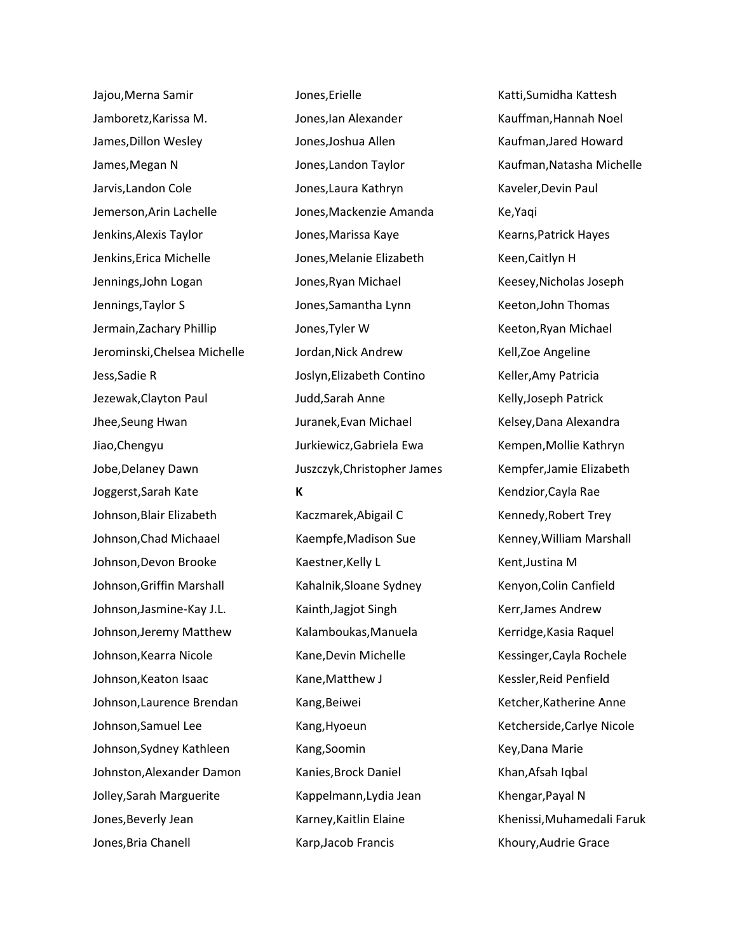Jajou,Merna Samir Jamboretz,Karissa M. James,Dillon Wesley James,Megan N Jarvis,Landon Cole Jemerson,Arin Lachelle Jenkins,Alexis Taylor Jenkins,Erica Michelle Jennings,John Logan Jennings,Taylor S Jermain,Zachary Phillip Jerominski,Chelsea Michelle Jess,Sadie R Jezewak,Clayton Paul Jhee,Seung Hwan Jiao,Chengyu Jobe,Delaney Dawn Joggerst,Sarah Kate Johnson,Blair Elizabeth Johnson,Chad Michaael Johnson,Devon Brooke Johnson,Griffin Marshall Johnson,Jasmine-Kay J.L. Johnson,Jeremy Matthew Johnson,Kearra Nicole Johnson,Keaton Isaac Johnson,Laurence Brendan Johnson,Samuel Lee Johnson,Sydney Kathleen Johnston,Alexander Damon Jolley,Sarah Marguerite Jones,Beverly Jean Jones,Bria Chanell

Jones,Erielle Jones,Ian Alexander Jones,Joshua Allen Jones,Landon Taylor Jones,Laura Kathryn Jones,Mackenzie Amanda Jones,Marissa Kaye Jones,Melanie Elizabeth Jones,Ryan Michael Jones,Samantha Lynn Jones,Tyler W Jordan,Nick Andrew Joslyn,Elizabeth Contino Judd,Sarah Anne Juranek,Evan Michael Jurkiewicz,Gabriela Ewa Juszczyk,Christopher James **K**

Kaczmarek,Abigail C Kaempfe,Madison Sue Kaestner,Kelly L Kahalnik,Sloane Sydney Kainth,Jagjot Singh Kalamboukas,Manuela Kane,Devin Michelle Kane,Matthew J Kang,Beiwei Kang,Hyoeun Kang,Soomin Kanies,Brock Daniel Kappelmann,Lydia Jean Karney,Kaitlin Elaine Karp,Jacob Francis

Katti,Sumidha Kattesh Kauffman,Hannah Noel Kaufman,Jared Howard Kaufman,Natasha Michelle Kaveler,Devin Paul Ke,Yaqi Kearns,Patrick Hayes Keen,Caitlyn H Keesey,Nicholas Joseph Keeton,John Thomas Keeton,Ryan Michael Kell,Zoe Angeline Keller,Amy Patricia Kelly,Joseph Patrick Kelsey,Dana Alexandra Kempen,Mollie Kathryn Kempfer,Jamie Elizabeth Kendzior,Cayla Rae Kennedy,Robert Trey Kenney,William Marshall Kent,Justina M Kenyon,Colin Canfield Kerr,James Andrew Kerridge,Kasia Raquel Kessinger,Cayla Rochele Kessler,Reid Penfield Ketcher,Katherine Anne Ketcherside,Carlye Nicole Key,Dana Marie Khan,Afsah Iqbal Khengar,Payal N Khenissi,Muhamedali Faruk Khoury,Audrie Grace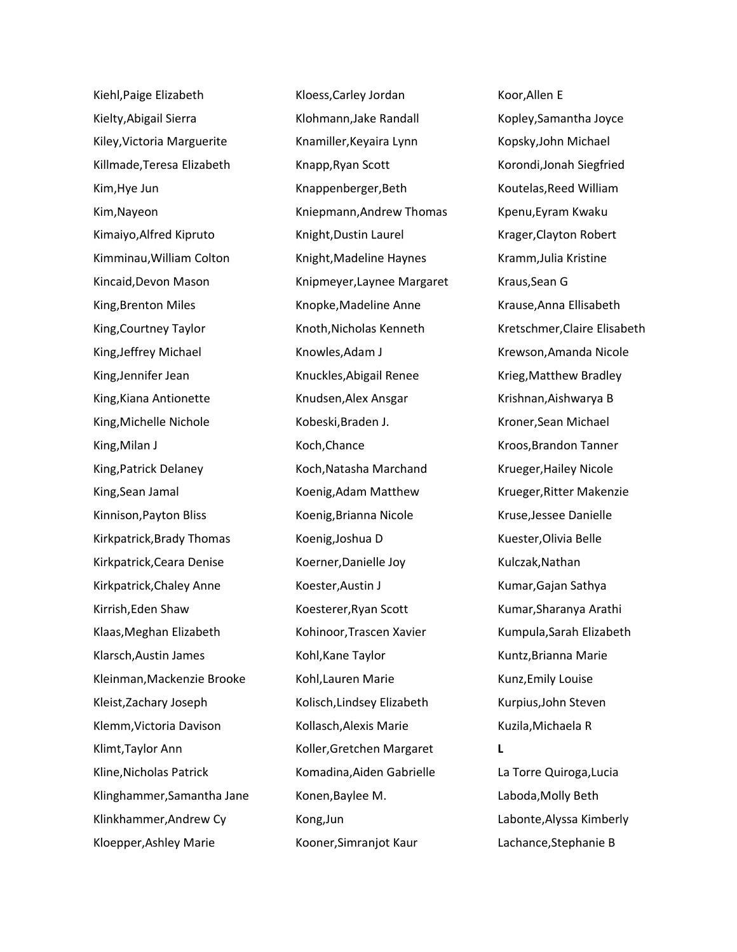Kiehl,Paige Elizabeth Kielty,Abigail Sierra Kiley,Victoria Marguerite Killmade,Teresa Elizabeth Kim,Hye Jun Kim,Nayeon Kimaiyo,Alfred Kipruto Kimminau,William Colton Kincaid,Devon Mason King,Brenton Miles King,Courtney Taylor King,Jeffrey Michael King,Jennifer Jean King,Kiana Antionette King,Michelle Nichole King,Milan J King,Patrick Delaney King,Sean Jamal Kinnison,Payton Bliss Kirkpatrick,Brady Thomas Kirkpatrick,Ceara Denise Kirkpatrick,Chaley Anne Kirrish,Eden Shaw Klaas,Meghan Elizabeth Klarsch,Austin James Kleinman,Mackenzie Brooke Kleist,Zachary Joseph Klemm,Victoria Davison Klimt,Taylor Ann Kline,Nicholas Patrick Klinghammer,Samantha Jane Klinkhammer,Andrew Cy Kloepper,Ashley Marie

Kloess,Carley Jordan Klohmann,Jake Randall Knamiller,Keyaira Lynn Knapp,Ryan Scott Knappenberger,Beth Kniepmann,Andrew Thomas Knight,Dustin Laurel Knight,Madeline Haynes Knipmeyer,Laynee Margaret Knopke,Madeline Anne Knoth,Nicholas Kenneth Knowles,Adam J Knuckles,Abigail Renee Knudsen,Alex Ansgar Kobeski,Braden J. Koch,Chance Koch,Natasha Marchand Koenig,Adam Matthew Koenig,Brianna Nicole Koenig,Joshua D Koerner,Danielle Joy Koester,Austin J Koesterer,Ryan Scott Kohinoor,Trascen Xavier Kohl,Kane Taylor Kohl,Lauren Marie Kolisch,Lindsey Elizabeth Kollasch,Alexis Marie Koller,Gretchen Margaret Komadina,Aiden Gabrielle Konen,Baylee M. Kong,Jun Kooner,Simranjot Kaur

Koor,Allen E Kopley,Samantha Joyce Kopsky,John Michael Korondi,Jonah Siegfried Koutelas,Reed William Kpenu,Eyram Kwaku Krager,Clayton Robert Kramm,Julia Kristine Kraus,Sean G Krause,Anna Ellisabeth Kretschmer,Claire Elisabeth Krewson,Amanda Nicole Krieg,Matthew Bradley Krishnan,Aishwarya B Kroner,Sean Michael Kroos,Brandon Tanner Krueger,Hailey Nicole Krueger,Ritter Makenzie Kruse,Jessee Danielle Kuester,Olivia Belle Kulczak,Nathan Kumar,Gajan Sathya Kumar,Sharanya Arathi Kumpula,Sarah Elizabeth Kuntz,Brianna Marie Kunz,Emily Louise Kurpius,John Steven Kuzila,Michaela R **L** La Torre Quiroga,Lucia Laboda,Molly Beth Labonte,Alyssa Kimberly Lachance,Stephanie B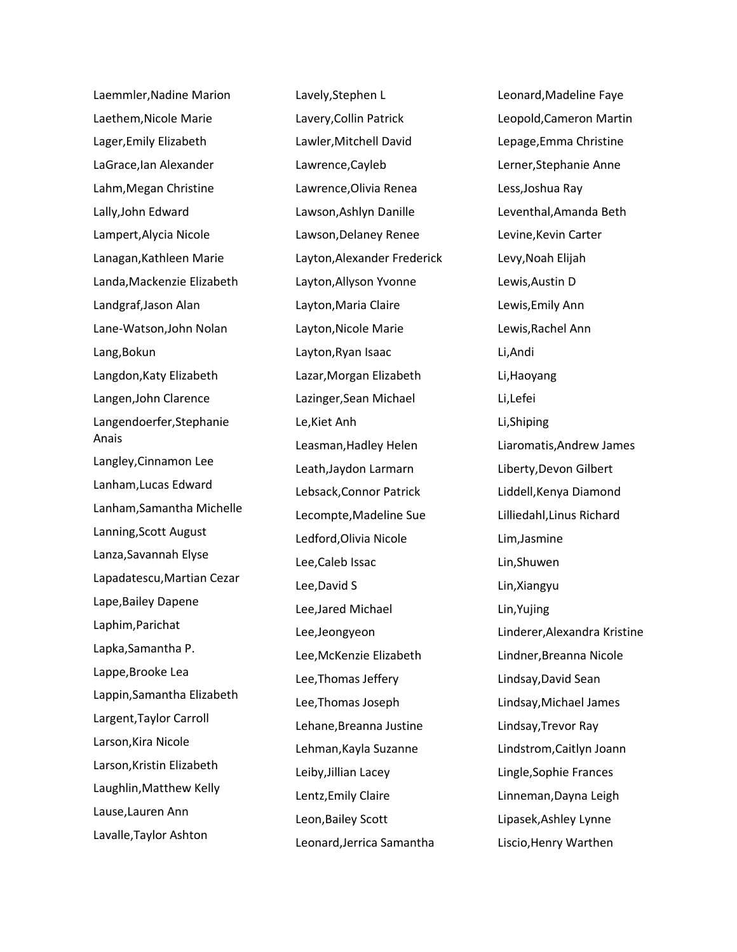Laemmler,Nadine Marion Laethem,Nicole Marie Lager,Emily Elizabeth LaGrace,Ian Alexander Lahm,Megan Christine Lally,John Edward Lampert,Alycia Nicole Lanagan,Kathleen Marie Landa,Mackenzie Elizabeth Landgraf,Jason Alan Lane-Watson,John Nolan Lang,Bokun Langdon,Katy Elizabeth Langen,John Clarence Langendoerfer,Stephanie Anais Langley,Cinnamon Lee Lanham,Lucas Edward Lanham,Samantha Michelle Lanning,Scott August Lanza,Savannah Elyse Lapadatescu,Martian Cezar Lape,Bailey Dapene Laphim,Parichat Lapka,Samantha P. Lappe,Brooke Lea Lappin,Samantha Elizabeth Largent,Taylor Carroll Larson,Kira Nicole Larson,Kristin Elizabeth Laughlin,Matthew Kelly Lause,Lauren Ann Lavalle,Taylor Ashton

Lavely,Stephen L Lavery,Collin Patrick Lawler,Mitchell David Lawrence,Cayleb Lawrence,Olivia Renea Lawson,Ashlyn Danille Lawson,Delaney Renee Layton,Alexander Frederick Layton,Allyson Yvonne Layton,Maria Claire Layton,Nicole Marie Layton,Ryan Isaac Lazar,Morgan Elizabeth Lazinger,Sean Michael Le,Kiet Anh Leasman,Hadley Helen Leath,Jaydon Larmarn Lebsack,Connor Patrick Lecompte,Madeline Sue Ledford,Olivia Nicole Lee,Caleb Issac Lee,David S Lee,Jared Michael Lee,Jeongyeon Lee,McKenzie Elizabeth Lee,Thomas Jeffery Lee,Thomas Joseph Lehane,Breanna Justine Lehman,Kayla Suzanne Leiby,Jillian Lacey Lentz,Emily Claire Leon,Bailey Scott Leonard,Jerrica Samantha

Leonard,Madeline Faye Leopold,Cameron Martin Lepage,Emma Christine Lerner,Stephanie Anne Less,Joshua Ray Leventhal,Amanda Beth Levine,Kevin Carter Levy,Noah Elijah Lewis,Austin D Lewis,Emily Ann Lewis,Rachel Ann Li,Andi Li,Haoyang Li,Lefei Li,Shiping Liaromatis,Andrew James Liberty,Devon Gilbert Liddell,Kenya Diamond Lilliedahl,Linus Richard Lim,Jasmine Lin,Shuwen Lin,Xiangyu Lin,Yujing Linderer,Alexandra Kristine Lindner,Breanna Nicole Lindsay,David Sean Lindsay,Michael James Lindsay,Trevor Ray Lindstrom,Caitlyn Joann Lingle,Sophie Frances Linneman,Dayna Leigh Lipasek,Ashley Lynne Liscio,Henry Warthen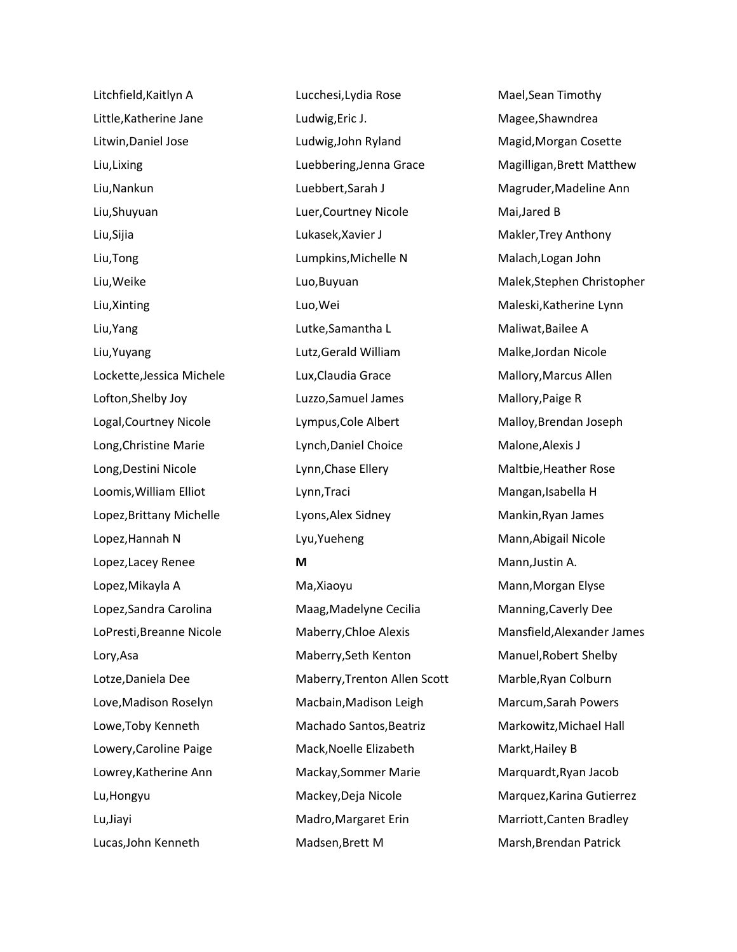Litchfield,Kaitlyn A Little,Katherine Jane Litwin,Daniel Jose Liu,Lixing Liu,Nankun Liu,Shuyuan Liu,Sijia Liu,Tong Liu,Weike Liu,Xinting Liu,Yang Liu,Yuyang Lockette,Jessica Michele Lofton,Shelby Joy Logal,Courtney Nicole Long,Christine Marie Long,Destini Nicole Loomis,William Elliot Lopez,Brittany Michelle Lopez,Hannah N Lopez,Lacey Renee Lopez,Mikayla A Lopez,Sandra Carolina LoPresti,Breanne Nicole Lory,Asa Lotze,Daniela Dee Love,Madison Roselyn Lowe,Toby Kenneth Lowery,Caroline Paige Lowrey,Katherine Ann Lu,Hongyu Lu,Jiayi Lucas,John Kenneth

Lucchesi,Lydia Rose Ludwig,Eric J. Ludwig,John Ryland Luebbering,Jenna Grace Luebbert,Sarah J Luer,Courtney Nicole Lukasek,Xavier J Lumpkins,Michelle N Luo,Buyuan Luo,Wei Lutke,Samantha L Lutz,Gerald William Lux,Claudia Grace Luzzo,Samuel James Lympus,Cole Albert Lynch,Daniel Choice Lynn,Chase Ellery Lynn,Traci Lyons,Alex Sidney Lyu,Yueheng **M** Ma,Xiaoyu Maag,Madelyne Cecilia Maberry,Chloe Alexis Maberry,Seth Kenton Maberry,Trenton Allen Scott Macbain,Madison Leigh Machado Santos,Beatriz Mack,Noelle Elizabeth Mackay,Sommer Marie Mackey,Deja Nicole Madro,Margaret Erin

Madsen,Brett M

Mael,Sean Timothy Magee,Shawndrea Magid,Morgan Cosette Magilligan,Brett Matthew Magruder,Madeline Ann Mai,Jared B Makler,Trey Anthony Malach,Logan John Malek,Stephen Christopher Maleski,Katherine Lynn Maliwat,Bailee A Malke,Jordan Nicole Mallory,Marcus Allen Mallory,Paige R Malloy,Brendan Joseph Malone,Alexis J Maltbie,Heather Rose Mangan,Isabella H Mankin,Ryan James Mann,Abigail Nicole Mann,Justin A. Mann,Morgan Elyse Manning,Caverly Dee Mansfield,Alexander James Manuel,Robert Shelby Marble,Ryan Colburn Marcum,Sarah Powers Markowitz,Michael Hall Markt,Hailey B Marquardt,Ryan Jacob Marquez,Karina Gutierrez Marriott,Canten Bradley Marsh,Brendan Patrick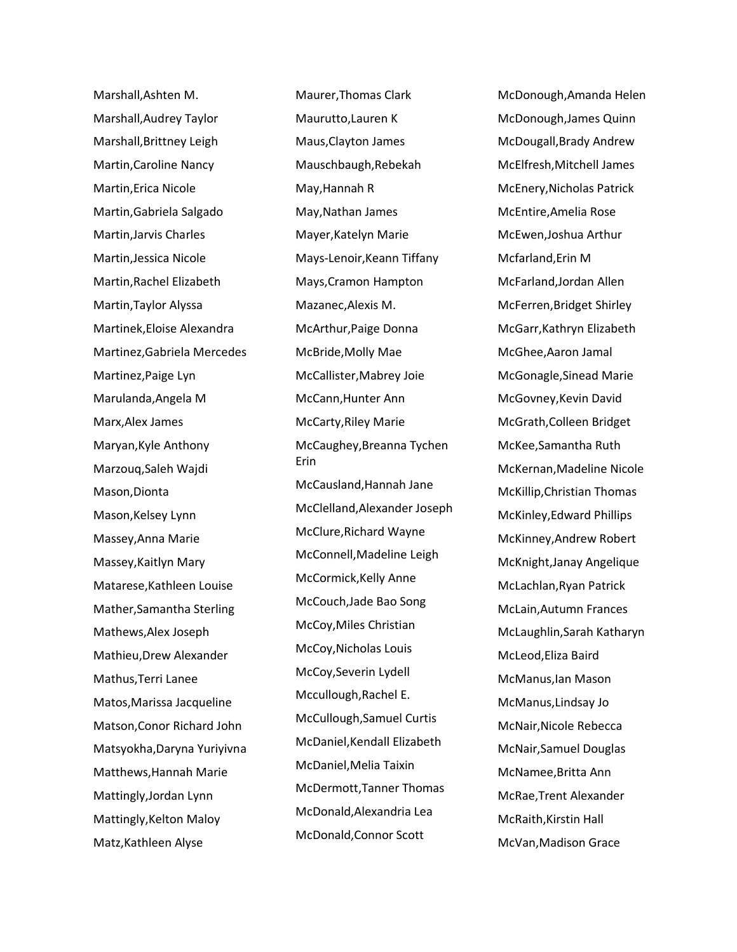Marshall,Ashten M. Marshall,Audrey Taylor Marshall,Brittney Leigh Martin,Caroline Nancy Martin,Erica Nicole Martin,Gabriela Salgado Martin,Jarvis Charles Martin,Jessica Nicole Martin,Rachel Elizabeth Martin,Taylor Alyssa Martinek,Eloise Alexandra Martinez,Gabriela Mercedes Martinez,Paige Lyn Marulanda,Angela M Marx,Alex James Maryan,Kyle Anthony Marzouq,Saleh Wajdi Mason,Dionta Mason,Kelsey Lynn Massey,Anna Marie Massey,Kaitlyn Mary Matarese,Kathleen Louise Mather,Samantha Sterling Mathews,Alex Joseph Mathieu,Drew Alexander Mathus,Terri Lanee Matos,Marissa Jacqueline Matson,Conor Richard John Matsyokha,Daryna Yuriyivna Matthews,Hannah Marie Mattingly,Jordan Lynn Mattingly,Kelton Maloy Matz,Kathleen Alyse

Maurer,Thomas Clark Maurutto,Lauren K Maus,Clayton James Mauschbaugh,Rebekah May,Hannah R May,Nathan James Mayer,Katelyn Marie Mays-Lenoir,Keann Tiffany Mays,Cramon Hampton Mazanec,Alexis M. McArthur,Paige Donna McBride,Molly Mae McCallister,Mabrey Joie McCann,Hunter Ann McCarty,Riley Marie McCaughey,Breanna Tychen Erin McCausland,Hannah Jane McClelland,Alexander Joseph McClure,Richard Wayne McConnell,Madeline Leigh McCormick,Kelly Anne McCouch,Jade Bao Song McCoy,Miles Christian McCoy,Nicholas Louis McCoy,Severin Lydell Mccullough,Rachel E. McCullough,Samuel Curtis McDaniel,Kendall Elizabeth McDaniel,Melia Taixin McDermott,Tanner Thomas McDonald,Alexandria Lea McDonald,Connor Scott

McDonough,Amanda Helen McDonough,James Quinn McDougall,Brady Andrew McElfresh,Mitchell James McEnery,Nicholas Patrick McEntire,Amelia Rose McEwen,Joshua Arthur Mcfarland,Erin M McFarland,Jordan Allen McFerren,Bridget Shirley McGarr,Kathryn Elizabeth McGhee,Aaron Jamal McGonagle,Sinead Marie McGovney,Kevin David McGrath,Colleen Bridget McKee,Samantha Ruth McKernan,Madeline Nicole McKillip,Christian Thomas McKinley,Edward Phillips McKinney,Andrew Robert McKnight,Janay Angelique McLachlan,Ryan Patrick McLain,Autumn Frances McLaughlin,Sarah Katharyn McLeod,Eliza Baird McManus,Ian Mason McManus,Lindsay Jo McNair,Nicole Rebecca McNair,Samuel Douglas McNamee,Britta Ann McRae,Trent Alexander McRaith,Kirstin Hall McVan,Madison Grace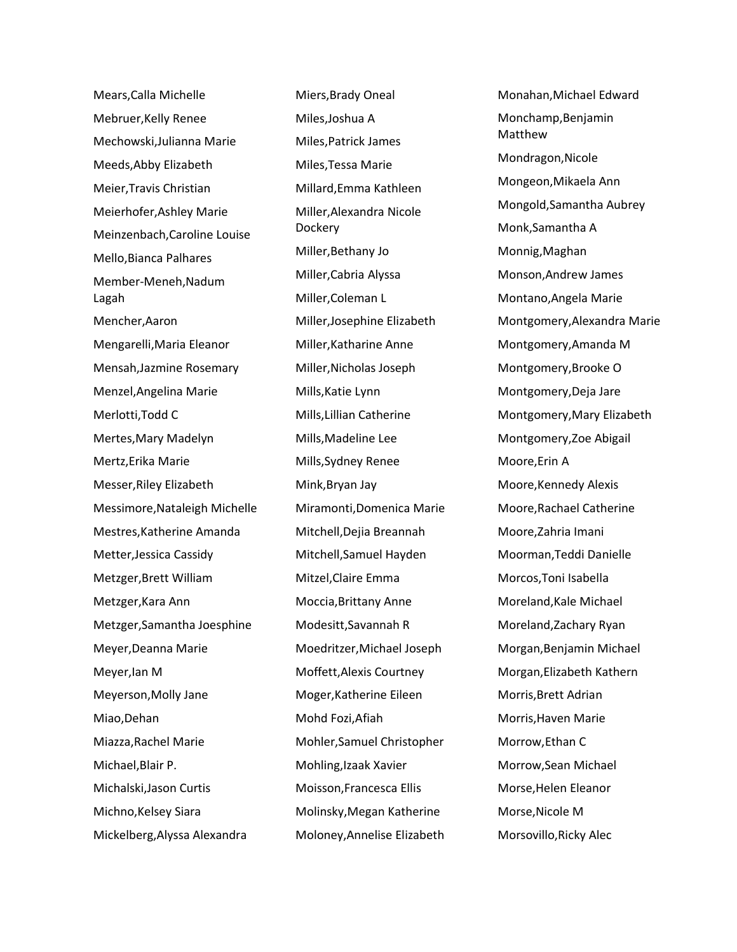Mears,Calla Michelle Mebruer,Kelly Renee Mechowski,Julianna Marie Meeds,Abby Elizabeth Meier,Travis Christian Meierhofer,Ashley Marie Meinzenbach,Caroline Louise Mello,Bianca Palhares Member-Meneh,Nadum Lagah Mencher,Aaron Mengarelli,Maria Eleanor Mensah,Jazmine Rosemary Menzel,Angelina Marie Merlotti,Todd C Mertes,Mary Madelyn Mertz,Erika Marie Messer,Riley Elizabeth Messimore,Nataleigh Michelle Mestres,Katherine Amanda Metter,Jessica Cassidy Metzger,Brett William Metzger,Kara Ann Metzger,Samantha Joesphine Meyer,Deanna Marie Meyer,Ian M Meyerson,Molly Jane Miao,Dehan Miazza,Rachel Marie Michael,Blair P. Michalski,Jason Curtis Michno,Kelsey Siara Mickelberg,Alyssa Alexandra

Miers,Brady Oneal Miles,Joshua A Miles,Patrick James Miles,Tessa Marie Millard,Emma Kathleen Miller,Alexandra Nicole **Dockery** Miller,Bethany Jo Miller,Cabria Alyssa Miller,Coleman L Miller,Josephine Elizabeth Miller,Katharine Anne Miller,Nicholas Joseph Mills,Katie Lynn Mills,Lillian Catherine Mills,Madeline Lee Mills,Sydney Renee Mink,Bryan Jay Miramonti,Domenica Marie Mitchell,Dejia Breannah Mitchell,Samuel Hayden Mitzel,Claire Emma Moccia,Brittany Anne Modesitt,Savannah R Moedritzer,Michael Joseph Moffett,Alexis Courtney Moger,Katherine Eileen Mohd Fozi,Afiah Mohler,Samuel Christopher Mohling,Izaak Xavier Moisson,Francesca Ellis Molinsky,Megan Katherine Moloney,Annelise Elizabeth Monahan,Michael Edward Monchamp,Benjamin Matthew Mondragon,Nicole Mongeon,Mikaela Ann Mongold,Samantha Aubrey Monk,Samantha A Monnig,Maghan Monson,Andrew James Montano,Angela Marie Montgomery,Alexandra Marie Montgomery,Amanda M Montgomery,Brooke O Montgomery,Deja Jare Montgomery,Mary Elizabeth Montgomery,Zoe Abigail Moore,Erin A Moore,Kennedy Alexis Moore,Rachael Catherine Moore,Zahria Imani Moorman,Teddi Danielle Morcos,Toni Isabella Moreland,Kale Michael Moreland,Zachary Ryan Morgan,Benjamin Michael Morgan,Elizabeth Kathern Morris,Brett Adrian Morris,Haven Marie Morrow,Ethan C Morrow,Sean Michael Morse,Helen Eleanor Morse,Nicole M Morsovillo,Ricky Alec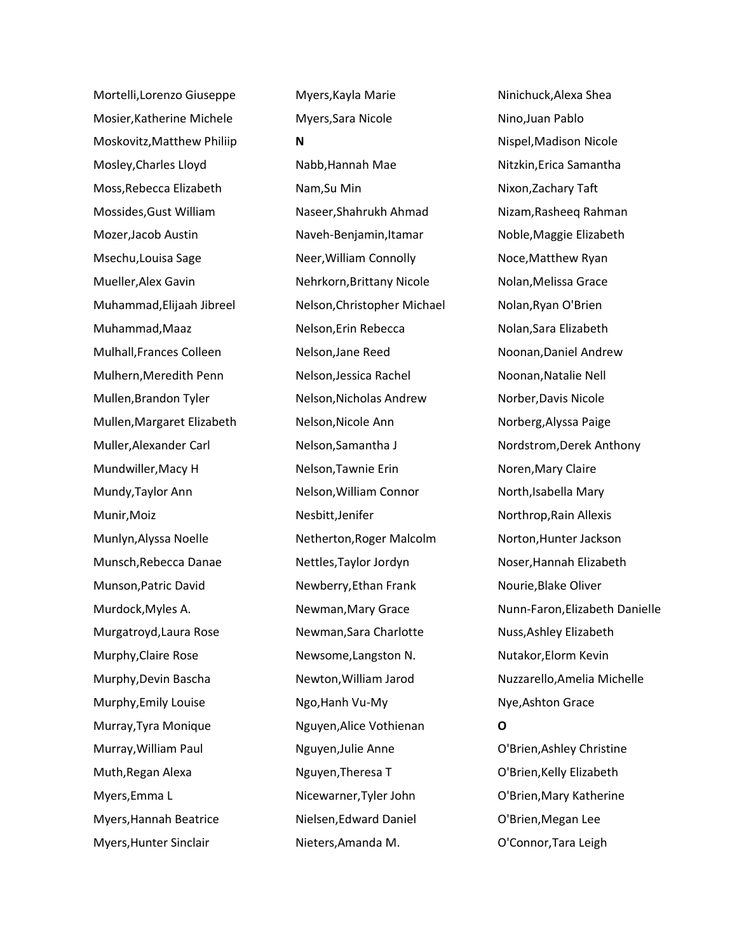Mortelli,Lorenzo Giuseppe Mosier,Katherine Michele Moskovitz,Matthew Philiip Mosley,Charles Lloyd Moss,Rebecca Elizabeth Mossides,Gust William Mozer,Jacob Austin Msechu,Louisa Sage Mueller,Alex Gavin Muhammad,Elijaah Jibreel Muhammad,Maaz Mulhall,Frances Colleen Mulhern,Meredith Penn Mullen,Brandon Tyler Mullen,Margaret Elizabeth Muller,Alexander Carl Mundwiller,Macy H Mundy,Taylor Ann Munir,Moiz Munlyn,Alyssa Noelle Munsch,Rebecca Danae Munson,Patric David Murdock,Myles A. Murgatroyd,Laura Rose Murphy,Claire Rose Murphy,Devin Bascha Murphy,Emily Louise Murray,Tyra Monique Murray,William Paul Muth,Regan Alexa Myers,Emma L Myers,Hannah Beatrice Myers,Hunter Sinclair

Myers,Kayla Marie Myers,Sara Nicole **N** Nabb,Hannah Mae Nam,Su Min Naseer,Shahrukh Ahmad Naveh-Benjamin,Itamar Neer,William Connolly Nehrkorn,Brittany Nicole Nelson,Christopher Michael Nelson,Erin Rebecca Nelson,Jane Reed Nelson,Jessica Rachel Nelson,Nicholas Andrew Nelson,Nicole Ann Nelson,Samantha J Nelson,Tawnie Erin Nelson,William Connor Nesbitt,Jenifer Netherton,Roger Malcolm Nettles,Taylor Jordyn Newberry,Ethan Frank Newman,Mary Grace Newman,Sara Charlotte Newsome,Langston N. Newton,William Jarod Ngo,Hanh Vu-My Nguyen,Alice Vothienan Nguyen,Julie Anne Nguyen,Theresa T Nicewarner,Tyler John Nielsen,Edward Daniel Nieters,Amanda M.

Ninichuck,Alexa Shea Nino,Juan Pablo Nispel,Madison Nicole Nitzkin,Erica Samantha Nixon,Zachary Taft Nizam,Rasheeq Rahman Noble,Maggie Elizabeth Noce,Matthew Ryan Nolan,Melissa Grace Nolan,Ryan O'Brien Nolan,Sara Elizabeth Noonan,Daniel Andrew Noonan,Natalie Nell Norber,Davis Nicole Norberg,Alyssa Paige Nordstrom,Derek Anthony Noren,Mary Claire North,Isabella Mary Northrop,Rain Allexis Norton,Hunter Jackson Noser,Hannah Elizabeth Nourie,Blake Oliver Nunn-Faron,Elizabeth Danielle Nuss,Ashley Elizabeth Nutakor,Elorm Kevin Nuzzarello,Amelia Michelle Nye,Ashton Grace **O** O'Brien,Ashley Christine O'Brien,Kelly Elizabeth O'Brien,Mary Katherine

O'Brien,Megan Lee O'Connor,Tara Leigh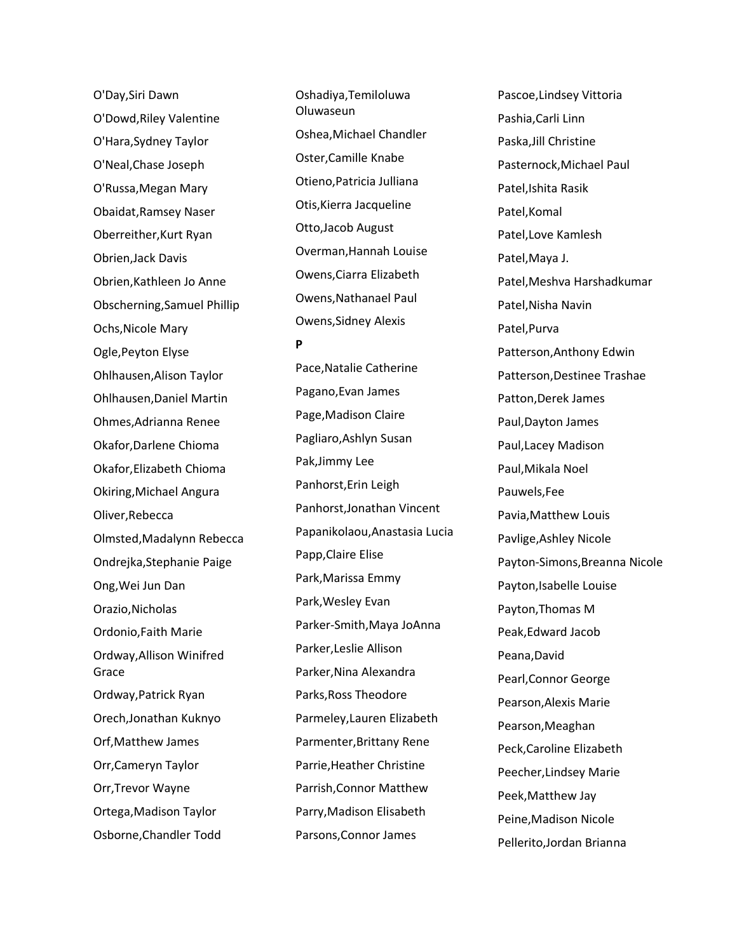O'Day,Siri Dawn O'Dowd,Riley Valentine O'Hara,Sydney Taylor O'Neal,Chase Joseph O'Russa,Megan Mary Obaidat,Ramsey Naser Oberreither,Kurt Ryan Obrien,Jack Davis Obrien,Kathleen Jo Anne Obscherning,Samuel Phillip Ochs,Nicole Mary Ogle,Peyton Elyse Ohlhausen,Alison Taylor Ohlhausen,Daniel Martin Ohmes,Adrianna Renee Okafor,Darlene Chioma Okafor,Elizabeth Chioma Okiring,Michael Angura Oliver,Rebecca Olmsted,Madalynn Rebecca Ondrejka,Stephanie Paige Ong,Wei Jun Dan Orazio,Nicholas Ordonio,Faith Marie Ordway,Allison Winifred Grace Ordway,Patrick Ryan Orech,Jonathan Kuknyo Orf,Matthew James Orr,Cameryn Taylor Orr,Trevor Wayne Ortega,Madison Taylor Osborne,Chandler Todd

Oshadiya,Temiloluwa Oluwaseun Oshea,Michael Chandler Oster,Camille Knabe Otieno,Patricia Julliana Otis,Kierra Jacqueline Otto,Jacob August Overman,Hannah Louise Owens,Ciarra Elizabeth Owens,Nathanael Paul Owens,Sidney Alexis

**P**

Pace,Natalie Catherine Pagano,Evan James Page,Madison Claire Pagliaro,Ashlyn Susan Pak,Jimmy Lee Panhorst,Erin Leigh Panhorst,Jonathan Vincent Papanikolaou,Anastasia Lucia Papp,Claire Elise Park,Marissa Emmy Park,Wesley Evan Parker-Smith,Maya JoAnna Parker,Leslie Allison Parker,Nina Alexandra Parks,Ross Theodore Parmeley,Lauren Elizabeth Parmenter,Brittany Rene Parrie,Heather Christine Parrish,Connor Matthew Parry,Madison Elisabeth Parsons,Connor James

Pascoe,Lindsey Vittoria Pashia,Carli Linn Paska,Jill Christine Pasternock,Michael Paul Patel,Ishita Rasik Patel,Komal Patel,Love Kamlesh Patel,Maya J. Patel,Meshva Harshadkumar Patel,Nisha Navin Patel,Purva Patterson,Anthony Edwin Patterson,Destinee Trashae Patton,Derek James Paul,Dayton James Paul,Lacey Madison Paul,Mikala Noel Pauwels,Fee Pavia,Matthew Louis Pavlige,Ashley Nicole Payton-Simons,Breanna Nicole Payton,Isabelle Louise Payton,Thomas M Peak,Edward Jacob Peana,David Pearl,Connor George Pearson,Alexis Marie Pearson,Meaghan Peck,Caroline Elizabeth Peecher,Lindsey Marie Peek,Matthew Jay Peine,Madison Nicole Pellerito,Jordan Brianna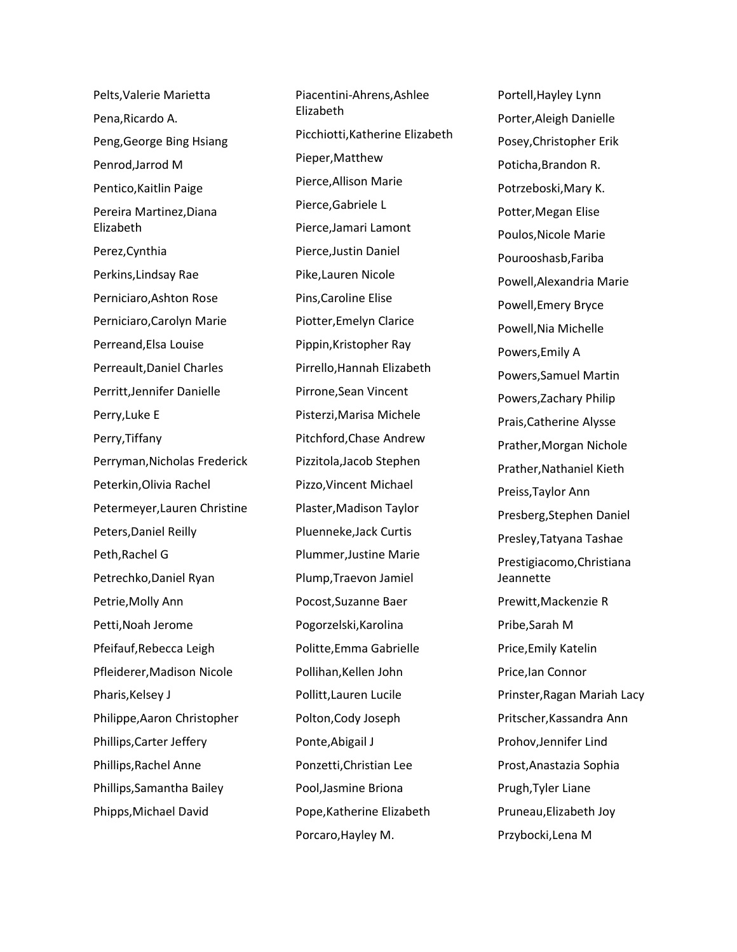Pelts,Valerie Marietta Pena,Ricardo A. Peng,George Bing Hsiang Penrod,Jarrod M Pentico,Kaitlin Paige Pereira Martinez,Diana Elizabeth Perez,Cynthia Perkins,Lindsay Rae Perniciaro,Ashton Rose Perniciaro,Carolyn Marie Perreand,Elsa Louise Perreault,Daniel Charles Perritt,Jennifer Danielle Perry,Luke E Perry,Tiffany Perryman,Nicholas Frederick Peterkin,Olivia Rachel Petermeyer,Lauren Christine Peters,Daniel Reilly Peth,Rachel G Petrechko,Daniel Ryan Petrie,Molly Ann Petti,Noah Jerome Pfeifauf,Rebecca Leigh Pfleiderer,Madison Nicole Pharis, Kelsey J Philippe,Aaron Christopher Phillips,Carter Jeffery Phillips,Rachel Anne Phillips,Samantha Bailey Phipps,Michael David

Piacentini-Ahrens,Ashlee Elizabeth Picchiotti,Katherine Elizabeth Pieper,Matthew Pierce,Allison Marie Pierce,Gabriele L Pierce,Jamari Lamont Pierce,Justin Daniel Pike,Lauren Nicole Pins,Caroline Elise Piotter,Emelyn Clarice Pippin,Kristopher Ray Pirrello,Hannah Elizabeth Pirrone,Sean Vincent Pisterzi,Marisa Michele Pitchford,Chase Andrew Pizzitola,Jacob Stephen Pizzo,Vincent Michael Plaster,Madison Taylor Pluenneke,Jack Curtis Plummer,Justine Marie Plump,Traevon Jamiel Pocost,Suzanne Baer Pogorzelski,Karolina Politte,Emma Gabrielle Pollihan,Kellen John Pollitt,Lauren Lucile Polton,Cody Joseph Ponte,Abigail J Ponzetti,Christian Lee Pool,Jasmine Briona Pope,Katherine Elizabeth Porcaro,Hayley M.

Portell,Hayley Lynn Porter,Aleigh Danielle Posey,Christopher Erik Poticha,Brandon R. Potrzeboski,Mary K. Potter,Megan Elise Poulos,Nicole Marie Pourooshasb,Fariba Powell,Alexandria Marie Powell,Emery Bryce Powell,Nia Michelle Powers,Emily A Powers,Samuel Martin Powers,Zachary Philip Prais,Catherine Alysse Prather,Morgan Nichole Prather,Nathaniel Kieth Preiss,Taylor Ann Presberg,Stephen Daniel Presley,Tatyana Tashae Prestigiacomo,Christiana Jeannette Prewitt,Mackenzie R Pribe,Sarah M Price,Emily Katelin Price,Ian Connor Prinster,Ragan Mariah Lacy Pritscher,Kassandra Ann Prohov,Jennifer Lind Prost,Anastazia Sophia Prugh,Tyler Liane Pruneau,Elizabeth Joy Przybocki,Lena M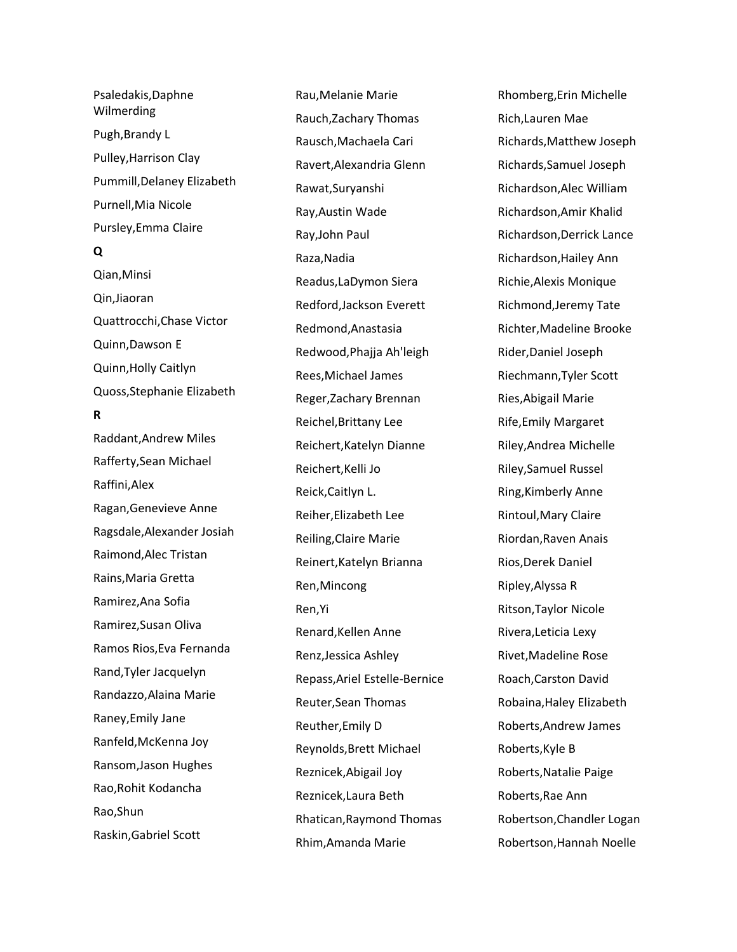Psaledakis,Daphne Wilmerding Pugh,Brandy L Pulley,Harrison Clay Pummill,Delaney Elizabeth Purnell,Mia Nicole Pursley,Emma Claire **Q** Qian,Minsi

Qin,Jiaoran Quattrocchi,Chase Victor Quinn,Dawson E Quinn,Holly Caitlyn Quoss,Stephanie Elizabeth

# **R**

Raddant,Andrew Miles Rafferty,Sean Michael Raffini,Alex Ragan,Genevieve Anne Ragsdale,Alexander Josiah Raimond,Alec Tristan Rains,Maria Gretta Ramirez,Ana Sofia Ramirez,Susan Oliva Ramos Rios,Eva Fernanda Rand,Tyler Jacquelyn Randazzo,Alaina Marie Raney,Emily Jane Ranfeld,McKenna Joy Ransom,Jason Hughes Rao,Rohit Kodancha Rao,Shun Raskin,Gabriel Scott

Rau,Melanie Marie Rauch,Zachary Thomas Rausch,Machaela Cari Ravert,Alexandria Glenn Rawat,Suryanshi Ray,Austin Wade Ray,John Paul Raza,Nadia Readus,LaDymon Siera Redford,Jackson Everett Redmond,Anastasia Redwood,Phajja Ah'leigh Rees,Michael James Reger,Zachary Brennan Reichel,Brittany Lee Reichert,Katelyn Dianne Reichert,Kelli Jo Reick,Caitlyn L. Reiher,Elizabeth Lee Reiling,Claire Marie Reinert,Katelyn Brianna Ren,Mincong Ren,Yi Renard,Kellen Anne Renz,Jessica Ashley Repass,Ariel Estelle -Bernice Reuter,Sean Thomas Reuther,Emily D Reynolds,Brett Michael Reznicek,Abigail Joy Reznicek,Laura Beth Rhatican,Raymond Thomas Rhim,Amanda Marie

Rhomberg,Erin Michelle Rich,Lauren Mae Richards,Matthew Joseph Richards,Samuel Joseph Richardson,Alec William Richardson,Amir Khalid Richardson,Derrick Lance Richardson,Hailey Ann Richie,Alexis Monique Richmond,Jeremy Tate Richter,Madeline Brooke Rider,Daniel Joseph Riechmann,Tyler Scott Ries,Abigail Marie Rife,Emily Margaret Riley,Andrea Michelle Riley,Samuel Russel Ring,Kimberly Anne Rintoul,Mary Claire Riordan,Raven Anais Rios,Derek Daniel Ripley,Alyssa R Ritson,Taylor Nicole Rivera,Leticia Lexy Rivet,Madeline Rose Roach,Carston David Robaina,Haley Elizabeth Roberts,Andrew James Roberts,Kyle B Roberts,Natalie Paige Roberts,Rae Ann Robertson,Chandler Logan Robertson,Hannah Noelle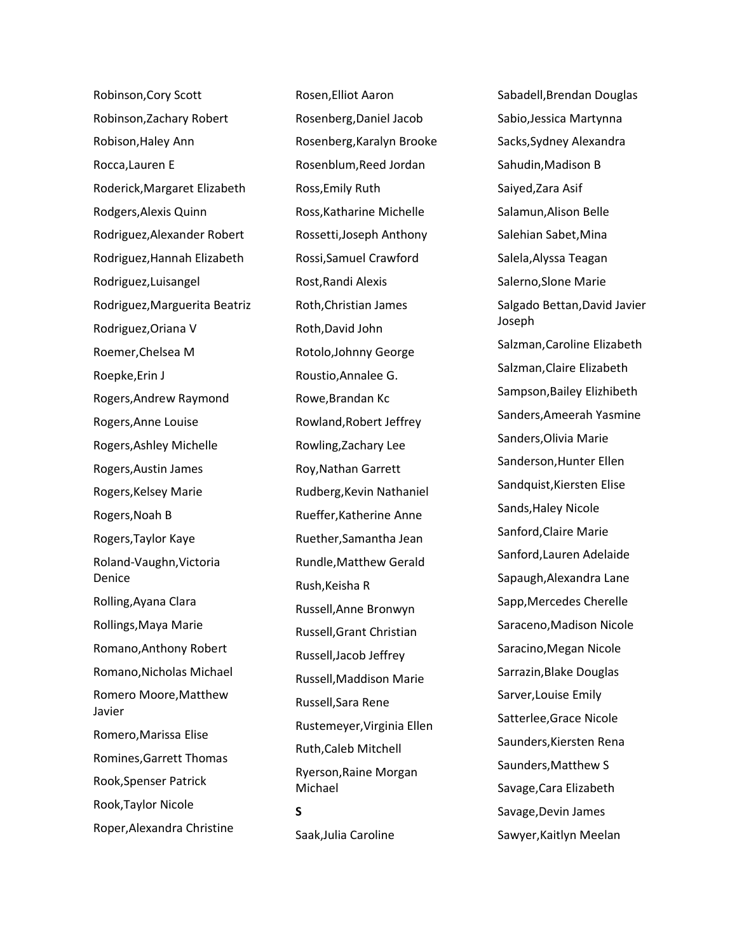Robinson,Cory Scott Robinson,Zachary Robert Robison,Haley Ann Rocca,Lauren E Roderick,Margaret Elizabeth Rodgers,Alexis Quinn Rodriguez,Alexander Robert Rodriguez,Hannah Elizabeth Rodriguez,Luisangel Rodriguez,Marguerita Beatriz Rodriguez,Oriana V Roemer,Chelsea M Roepke,Erin J Rogers,Andrew Raymond Rogers,Anne Louise Rogers,Ashley Michelle Rogers,Austin James Rogers,Kelsey Marie Rogers,Noah B Rogers,Taylor Kaye Roland-Vaughn,Victoria Denice Rolling,Ayana Clara Rollings,Maya Marie Romano,Anthony Robert Romano,Nicholas Michael Romero Moore,Matthew Javier Romero,Marissa Elise Romines,Garrett Thomas Rook,Spenser Patrick Rook,Taylor Nicole Roper,Alexandra Christine

Rosen,Elliot Aaron Rosenberg,Daniel Jacob Rosenberg,Karalyn Brooke Rosenblum,Reed Jordan Ross,Emily Ruth Ross,Katharine Michelle Rossetti,Joseph Anthony Rossi,Samuel Crawford Rost,Randi Alexis Roth,Christian James Roth,David John Rotolo,Johnny George Roustio,Annalee G. Rowe,Brandan Kc Rowland,Robert Jeffrey Rowling,Zachary Lee Roy,Nathan Garrett Rudberg,Kevin Nathaniel Rueffer,Katherine Anne Ruether,Samantha Jean Rundle,Matthew Gerald Rush,Keisha R Russell,Anne Bronwyn Russell,Grant Christian Russell,Jacob Jeffrey Russell,Maddison Marie Russell,Sara Rene Rustemeyer,Virginia Ellen Ruth,Caleb Mitchell Ryerson,Raine Morgan Michael **S** Saak,Julia Caroline

Sabadell,Brendan Douglas Sabio,Jessica Martynna Sacks,Sydney Alexandra Sahudin,Madison B Saiyed,Zara Asif Salamun,Alison Belle Salehian Sabet,Mina Salela,Alyssa Teagan Salerno,Slone Marie Salgado Bettan,David Javier Joseph Salzman,Caroline Elizabeth Salzman,Claire Elizabeth Sampson,Bailey Elizhibeth Sanders,Ameerah Yasmine Sanders,Olivia Marie Sanderson,Hunter Ellen Sandquist,Kiersten Elise Sands,Haley Nicole Sanford,Claire Marie Sanford,Lauren Adelaide Sapaugh,Alexandra Lane Sapp,Mercedes Cherelle Saraceno,Madison Nicole Saracino,Megan Nicole Sarrazin,Blake Douglas Sarver,Louise Emily Satterlee,Grace Nicole Saunders,Kiersten Rena Saunders,Matthew S Savage,Cara Elizabeth Savage,Devin James Sawyer,Kaitlyn Meelan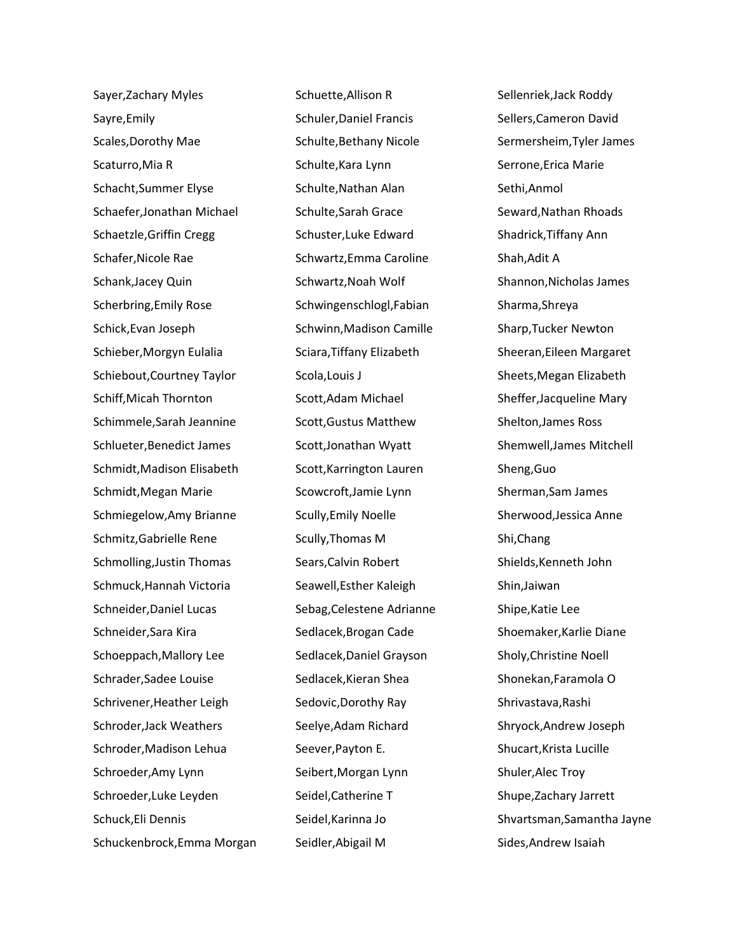Sayer,Zachary Myles Sayre,Emily Scales,Dorothy Mae Scaturro,Mia R Schacht,Summer Elyse Schaefer,Jonathan Michael Schaetzle,Griffin Cregg Schafer,Nicole Rae Schank,Jacey Quin Scherbring,Emily Rose Schick,Evan Joseph Schieber,Morgyn Eulalia Schiebout,Courtney Taylor Schiff,Micah Thornton Schimmele,Sarah Jeannine Schlueter,Benedict James Schmidt,Madison Elisabeth Schmidt,Megan Marie Schmiegelow,Amy Brianne Schmitz,Gabrielle Rene Schmolling,Justin Thomas Schmuck,Hannah Victoria Schneider,Daniel Lucas Schneider,Sara Kira Schoeppach,Mallory Lee Schrader,Sadee Louise Schrivener,Heather Leigh Schroder,Jack Weathers Schroder,Madison Lehua Schroeder,Amy Lynn Schroeder,Luke Leyden Schuck,Eli Dennis Schuckenbrock,Emma Morgan Schuette,Allison R Schuler,Daniel Francis Schulte,Bethany Nicole Schulte,Kara Lynn Schulte,Nathan Alan Schulte,Sarah Grace Schuster,Luke Edward Schwartz,Emma Caroline Schwartz,Noah Wolf Schwingenschlogl,Fabian Schwinn,Madison Camille Sciara,Tiffany Elizabeth Scola,Louis J Scott,Adam Michael Scott,Gustus Matthew Scott,Jonathan Wyatt Scott,Karrington Lauren Scowcroft,Jamie Lynn Scully,Emily Noelle Scully,Thomas M Sears,Calvin Robert Seawell,Esther Kaleigh Sebag,Celestene Adrianne Sedlacek,Brogan Cade Sedlacek,Daniel Grayson Sedlacek,Kieran Shea Sedovic,Dorothy Ray Seelye,Adam Richard Seever,Payton E. Seibert,Morgan Lynn Seidel,Catherine T Seidel,Karinna Jo Seidler,Abigail M

Sellenriek,Jack Roddy Sellers,Cameron David Sermersheim,Tyler James Serrone,Erica Marie Sethi,Anmol Seward,Nathan Rhoads Shadrick,Tiffany Ann Shah,Adit A Shannon,Nicholas James Sharma,Shreya Sharp,Tucker Newton Sheeran,Eileen Margaret Sheets,Megan Elizabeth Sheffer,Jacqueline Mary Shelton,James Ross Shemwell,James Mitchell Sheng,Guo Sherman,Sam James Sherwood,Jessica Anne Shi,Chang Shields,Kenneth John Shin,Jaiwan Shipe,Katie Lee Shoemaker,Karlie Diane Sholy,Christine Noell Shonekan,Faramola O Shrivastava,Rashi Shryock,Andrew Joseph Shucart,Krista Lucille Shuler,Alec Troy Shupe,Zachary Jarrett Shvartsman,Samantha Jayne Sides,Andrew Isaiah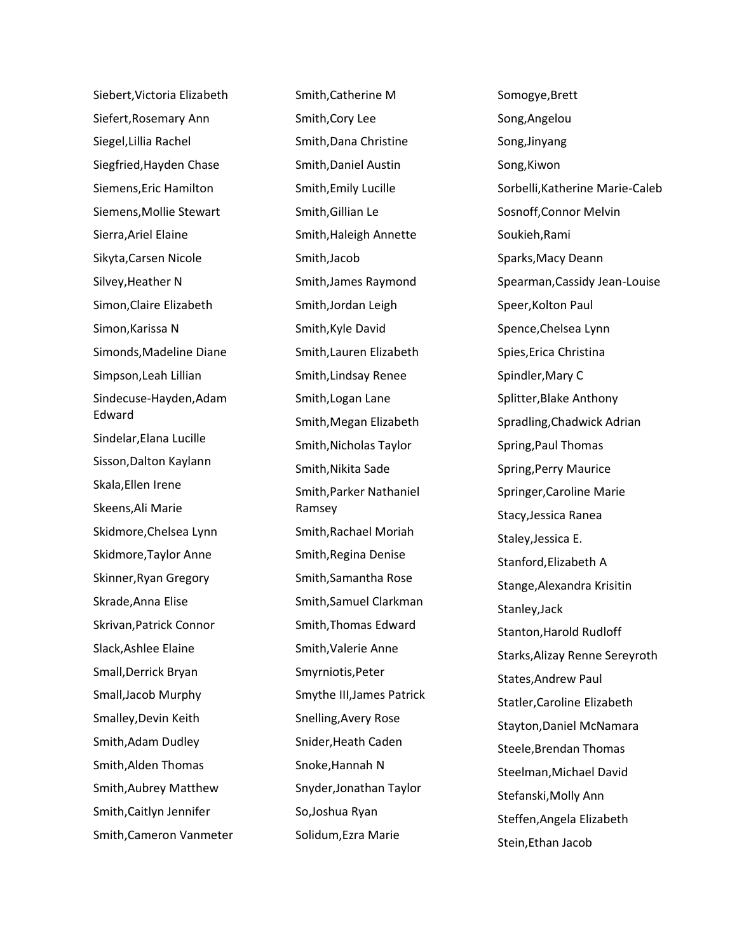Siebert,Victoria Elizabeth Siefert,Rosemary Ann Siegel,Lillia Rachel Siegfried,Hayden Chase Siemens,Eric Hamilton Siemens,Mollie Stewart Sierra,Ariel Elaine Sikyta,Carsen Nicole Silvey,Heather N Simon,Claire Elizabeth Simon,Karissa N Simonds,Madeline Diane Simpson,Leah Lillian Sindecuse-Hayden,Adam Edward Sindelar,Elana Lucille Sisson,Dalton Kaylann Skala,Ellen Irene Skeens,Ali Marie Skidmore,Chelsea Lynn Skidmore,Taylor Anne Skinner,Ryan Gregory Skrade,Anna Elise Skrivan,Patrick Connor Slack,Ashlee Elaine Small,Derrick Bryan Small,Jacob Murphy Smalley,Devin Keith Smith,Adam Dudley Smith,Alden Thomas Smith,Aubrey Matthew Smith,Caitlyn Jennifer Smith,Cameron Vanmeter Smith,Catherine M Smith,Cory Lee Smith,Dana Christine Smith,Daniel Austin Smith,Emily Lucille Smith,Gillian Le Smith,Haleigh Annette Smith,Jacob Smith,James Raymond Smith,Jordan Leigh Smith,Kyle David Smith,Lauren Elizabeth Smith,Lindsay Renee Smith,Logan Lane Smith,Megan Elizabeth Smith,Nicholas Taylor Smith,Nikita Sade Smith,Parker Nathaniel Ramsey Smith,Rachael Moriah Smith,Regina Denise Smith,Samantha Rose Smith,Samuel Clarkman Smith,Thomas Edward Smith,Valerie Anne Smyrniotis,Peter Smythe III,James Patrick Snelling,Avery Rose Snider,Heath Caden Snoke,Hannah N Snyder,Jonathan Taylor So,Joshua Ryan Solidum,Ezra Marie

Somogye,Brett Song,Angelou Song,Jinyang Song,Kiwon Sorbelli,Katherine Marie-Caleb Sosnoff,Connor Melvin Soukieh,Rami Sparks,Macy Deann Spearman,Cassidy Jean-Louise Speer,Kolton Paul Spence,Chelsea Lynn Spies,Erica Christina Spindler,Mary C Splitter,Blake Anthony Spradling,Chadwick Adrian Spring,Paul Thomas Spring,Perry Maurice Springer,Caroline Marie Stacy,Jessica Ranea Staley,Jessica E. Stanford,Elizabeth A Stange,Alexandra Krisitin Stanley,Jack Stanton,Harold Rudloff Starks,Alizay Renne Sereyroth States,Andrew Paul Statler,Caroline Elizabeth Stayton,Daniel McNamara Steele,Brendan Thomas Steelman,Michael David Stefanski,Molly Ann Steffen,Angela Elizabeth Stein,Ethan Jacob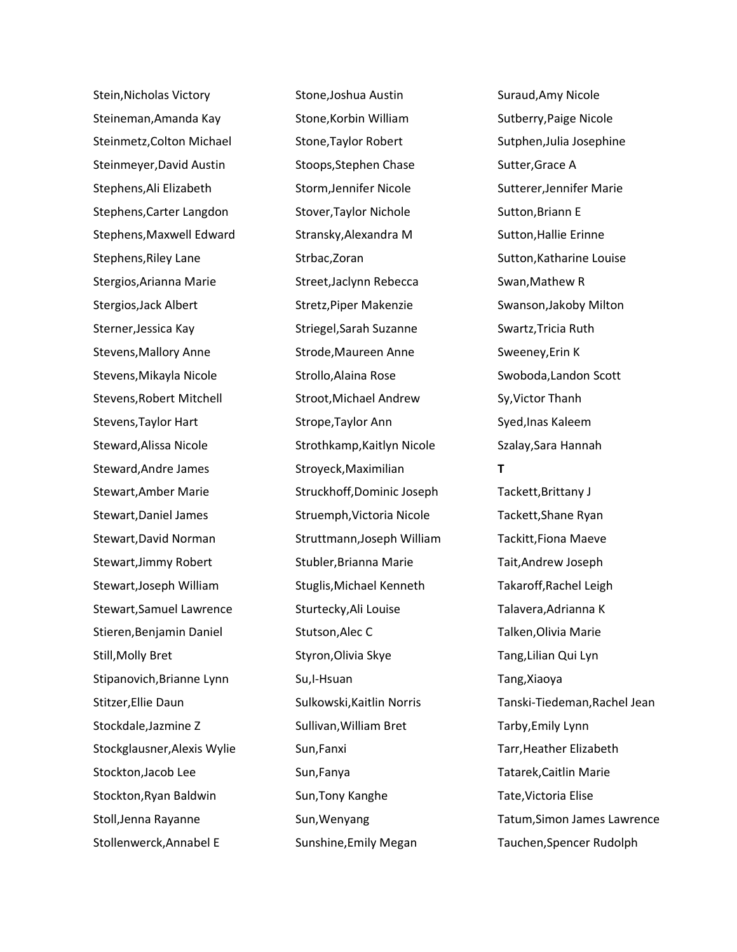Stein,Nicholas Victory Steineman,Amanda Kay Steinmetz,Colton Michael Steinmeyer,David Austin Stephens,Ali Elizabeth Stephens,Carter Langdon Stephens,Maxwell Edward Stephens,Riley Lane Stergios,Arianna Marie Stergios,Jack Albert Sterner,Jessica Kay Stevens,Mallory Anne Stevens,Mikayla Nicole Stevens,Robert Mitchell Stevens,Taylor Hart Steward,Alissa Nicole Steward,Andre James Stewart,Amber Marie Stewart,Daniel James Stewart,David Norman Stewart,Jimmy Robert Stewart,Joseph William Stewart,Samuel Lawrence Stieren,Benjamin Daniel Still,Molly Bret Stipanovich,Brianne Lynn Stitzer,Ellie Daun Stockdale,Jazmine Z Stockglausner,Alexis Wylie Stockton,Jacob Lee Stockton,Ryan Baldwin Stoll,Jenna Rayanne Stollenwerck,Annabel E

Stone,Joshua Austin Stone,Korbin William Stone,Taylor Robert Stoops,Stephen Chase Storm,Jennifer Nicole Stover,Taylor Nichole Stransky,Alexandra M Strbac,Zoran Street,Jaclynn Rebecca Stretz,Piper Makenzie Striegel,Sarah Suzanne Strode,Maureen Anne Strollo,Alaina Rose Stroot,Michael Andrew Strope,Taylor Ann Strothkamp,Kaitlyn Nicole Stroyeck,Maximilian Struckhoff,Dominic Joseph Struemph,Victoria Nicole Struttmann,Joseph William Stubler,Brianna Marie Stuglis,Michael Kenneth Sturtecky,Ali Louise Stutson,Alec C Styron,Olivia Skye Su,I-Hsuan Sulkowski,Kaitlin Norris Sullivan,William Bret Sun,Fanxi Sun,Fanya Sun,Tony Kanghe Sun,Wenyang Sunshine,Emily Megan

Sutberry,Paige Nicole Sutphen,Julia Josephine Sutter,Grace A Sutterer,Jennifer Marie Sutton,Briann E Sutton,Hallie Erinne Sutton,Katharine Louise Swan,Mathew R Swanson,Jakoby Milton Swartz,Tricia Ruth Sweeney,Erin K Swoboda,Landon Scott Sy,Victor Thanh Syed,Inas Kaleem Szalay,Sara Hannah **T** Tackett,Brittany J Tackett,Shane Ryan Tackitt,Fiona Maeve Tait,Andrew Joseph Takaroff,Rachel Leigh Talavera,Adrianna K Talken,Olivia Marie Tang,Lilian Qui Lyn Tang,Xiaoya Tanski-Tiedeman,Rachel Jean Tarby,Emily Lynn Tarr,Heather Elizabeth Tatarek,Caitlin Marie Tate,Victoria Elise Tatum,Simon James Lawrence Tauchen,Spencer Rudolph

Suraud,Amy Nicole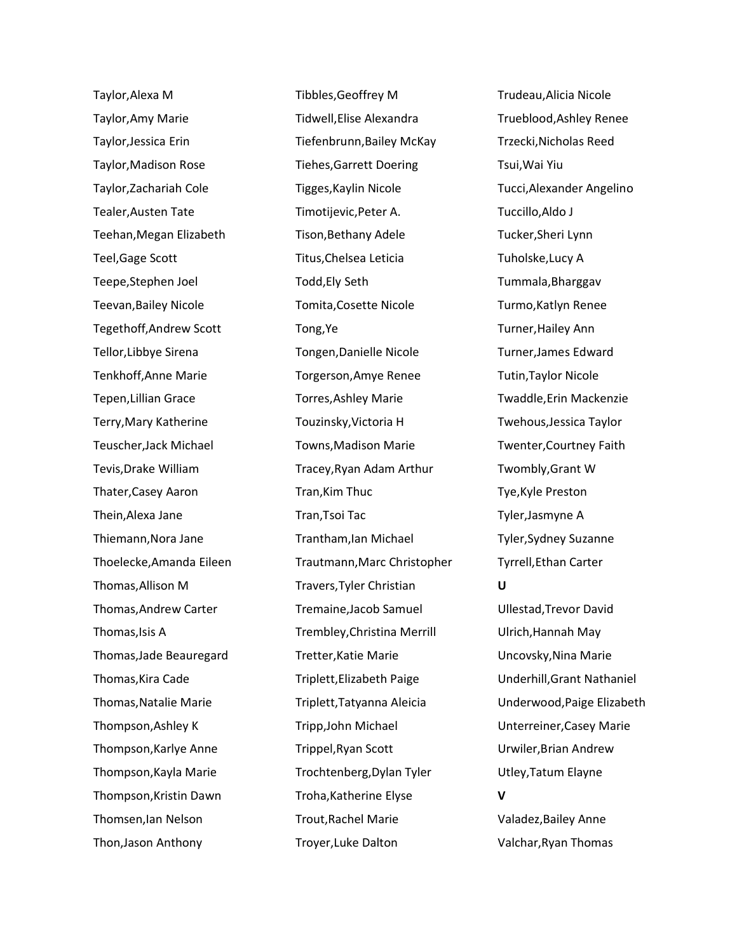Taylor,Alexa M Taylor,Amy Marie Taylor,Jessica Erin Taylor,Madison Rose Taylor,Zachariah Cole Tealer,Austen Tate Teehan,Megan Elizabeth Teel,Gage Scott Teepe,Stephen Joel Teevan,Bailey Nicole Tegethoff,Andrew Scott Tellor,Libbye Sirena Tenkhoff,Anne Marie Tepen,Lillian Grace Terry,Mary Katherine Teuscher,Jack Michael Tevis,Drake William Thater,Casey Aaron Thein,Alexa Jane Thiemann,Nora Jane Thoelecke,Amanda Eileen Thomas,Allison M Thomas,Andrew Carter Thomas,Isis A Thomas,Jade Beauregard Thomas,Kira Cade Thomas,Natalie Marie Thompson,Ashley K Thompson,Karlye Anne Thompson,Kayla Marie Thompson,Kristin Dawn Thomsen,Ian Nelson Thon,Jason Anthony

Tibbles,Geoffrey M Tidwell,Elise Alexandra Tiefenbrunn,Bailey McKay Tiehes,Garrett Doering Tigges,Kaylin Nicole Timotijevic,Peter A. Tison,Bethany Adele Titus,Chelsea Leticia Todd,Ely Seth Tomita,Cosette Nicole Tong,Ye Tongen,Danielle Nicole Torgerson,Amye Renee Torres,Ashley Marie Touzinsky,Victoria H Towns,Madison Marie Tracey,Ryan Adam Arthur Tran,Kim Thuc Tran,Tsoi Tac Trantham,Ian Michael Trautmann,Marc Christopher Travers,Tyler Christian Tremaine,Jacob Samuel Trembley,Christina Merrill Tretter,Katie Marie Triplett,Elizabeth Paige Triplett,Tatyanna Aleicia Tripp,John Michael Trippel,Ryan Scott Trochtenberg,Dylan Tyler Troha,Katherine Elyse Trout,Rachel Marie Troyer,Luke Dalton

Trudeau,Alicia Nicole Trueblood,Ashley Renee Trzecki,Nicholas Reed Tsui,Wai Yiu Tucci,Alexander Angelino Tuccillo,Aldo J Tucker,Sheri Lynn Tuholske,Lucy A Tummala,Bharggav Turmo,Katlyn Renee Turner,Hailey Ann Turner,James Edward Tutin,Taylor Nicole Twaddle,Erin Mackenzie Twehous,Jessica Taylor Twenter,Courtney Faith Twombly,Grant W Tye,Kyle Preston Tyler,Jasmyne A Tyler,Sydney Suzanne Tyrrell,Ethan Carter **U** Ullestad,Trevor David Ulrich,Hannah May Uncovsky,Nina Marie Underhill,Grant Nathaniel Underwood,Paige Elizabeth Unterreiner,Casey Marie Urwiler,Brian Andrew Utley,Tatum Elayne **V** Valadez,Bailey Anne

Valchar,Ryan Thomas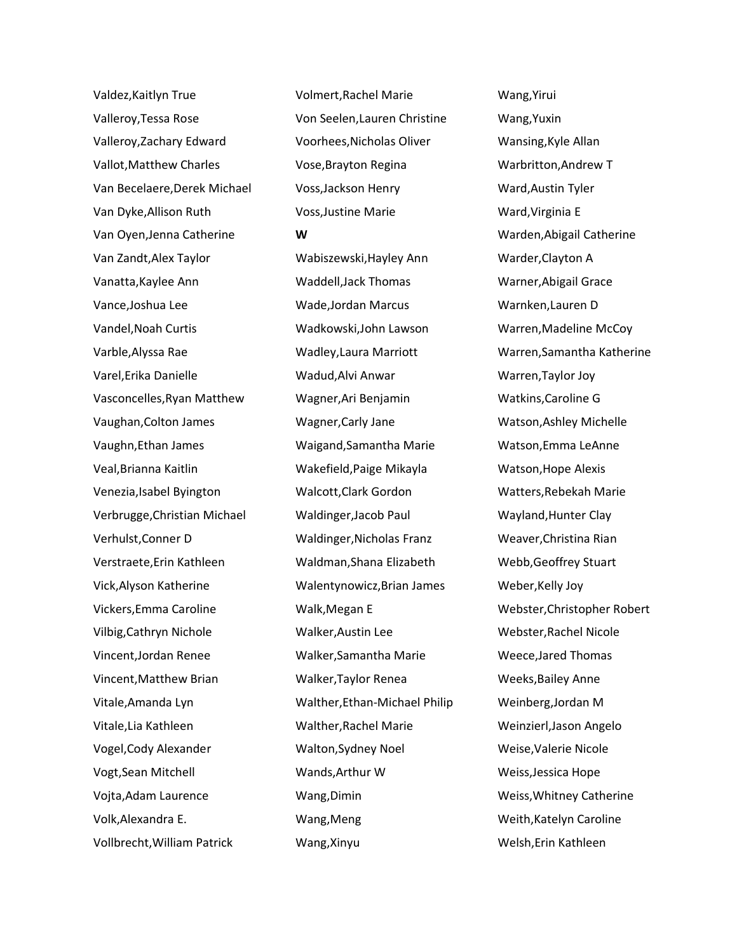Valdez,Kaitlyn True Valleroy,Tessa Rose Valleroy,Zachary Edward Vallot,Matthew Charles Van Becelaere,Derek Michael Van Dyke,Allison Ruth Van Oyen,Jenna Catherine Van Zandt,Alex Taylor Vanatta,Kaylee Ann Vance,Joshua Lee Vandel,Noah Curtis Varble,Alyssa Rae Varel,Erika Danielle Vasconcelles,Ryan Matthew Vaughan,Colton James Vaughn,Ethan James Veal,Brianna Kaitlin Venezia,Isabel Byington Verbrugge,Christian Michael Verhulst,Conner D Verstraete,Erin Kathleen Vick,Alyson Katherine Vickers,Emma Caroline Vilbig,Cathryn Nichole Vincent,Jordan Renee Vincent,Matthew Brian Vitale,Amanda Lyn Vitale,Lia Kathleen Vogel,Cody Alexander Vogt,Sean Mitchell Vojta,Adam Laurence Volk,Alexandra E. Vollbrecht,William Patrick

Volmert,Rachel Marie Von Seelen,Lauren Christine Voorhees,Nicholas Oliver Vose,Brayton Regina Voss,Jackson Henry Voss,Justine Marie **W** Wabiszewski,Hayley Ann Waddell,Jack Thomas Wade,Jordan Marcus Wadkowski,John Lawson Wadley,Laura Marriott Wadud,Alvi Anwar Wagner,Ari Benjamin Wagner,Carly Jane Waigand,Samantha Marie Wakefield,Paige Mikayla Walcott,Clark Gordon Waldinger,Jacob Paul Waldinger,Nicholas Franz Waldman,Shana Elizabeth Walentynowicz,Brian James Walk,Megan E Walker,Austin Lee Walker,Samantha Marie Walker,Taylor Renea Walther,Ethan-Michael Philip Walther,Rachel Marie Walton,Sydney Noel Wands,Arthur W Wang,Dimin Wang,Meng Wang,Xinyu

Wang,Yirui Wang,Yuxin Wansing,Kyle Allan Warbritton,Andrew T Ward,Austin Tyler Ward,Virginia E Warden,Abigail Catherine Warder,Clayton A Warner,Abigail Grace Warnken,Lauren D Warren,Madeline McCoy Warren,Samantha Katherine Warren,Taylor Joy Watkins,Caroline G Watson,Ashley Michelle Watson,Emma LeAnne Watson,Hope Alexis Watters,Rebekah Marie Wayland,Hunter Clay Weaver,Christina Rian Webb,Geoffrey Stuart Weber,Kelly Joy Webster,Christopher Robert Webster,Rachel Nicole Weece,Jared Thomas Weeks,Bailey Anne Weinberg,Jordan M Weinzierl,Jason Angelo Weise,Valerie Nicole Weiss,Jessica Hope Weiss,Whitney Catherine Weith,Katelyn Caroline Welsh,Erin Kathleen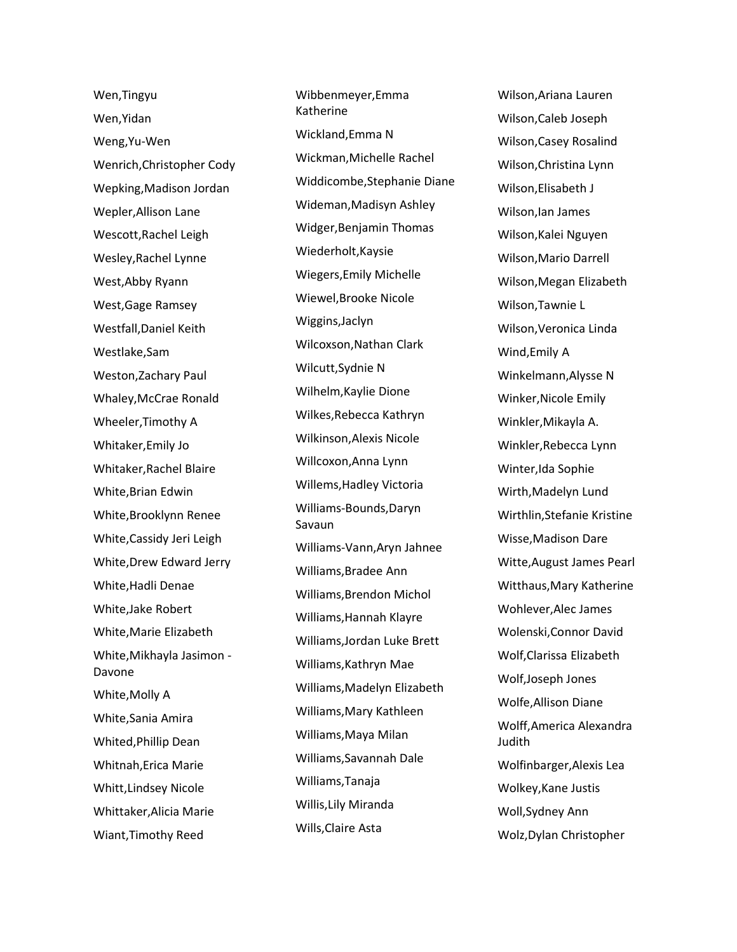Wen,Tingyu Wen,Yidan Weng,Yu-Wen Wenrich,Christopher Cody Wepking,Madison Jordan Wepler,Allison Lane Wescott,Rachel Leigh Wesley,Rachel Lynne West,Abby Ryann West,Gage Ramsey Westfall,Daniel Keith Westlake,Sam Weston,Zachary Paul Whaley,McCrae Ronald Wheeler,Timothy A Whitaker,Emily Jo Whitaker,Rachel Blaire White,Brian Edwin White,Brooklynn Renee White,Cassidy Jeri Leigh White,Drew Edward Jerry White,Hadli Denae White,Jake Robert White,Marie Elizabeth White,Mikhayla Jasimon - Davone White,Molly A White,Sania Amira Whited,Phillip Dean Whitnah,Erica Marie Whitt,Lindsey Nicole Whittaker,Alicia Marie Wiant,Timothy Reed

Wibbenmeyer,Emma Katherine Wickland,Emma N Wickman,Michelle Rachel Widdicombe,Stephanie Diane Wideman,Madisyn Ashley Widger,Benjamin Thomas Wiederholt,Kaysie Wiegers,Emily Michelle Wiewel,Brooke Nicole Wiggins,Jaclyn Wilcoxson,Nathan Clark Wilcutt,Sydnie N Wilhelm,Kaylie Dione Wilkes,Rebecca Kathryn Wilkinson,Alexis Nicole Willcoxon,Anna Lynn Willems,Hadley Victoria Williams-Bounds,Daryn Savaun Williams-Vann,Aryn Jahnee Williams,Bradee Ann Williams,Brendon Michol Williams,Hannah Klayre Williams,Jordan Luke Brett Williams,Kathryn Mae Williams,Madelyn Elizabeth Williams,Mary Kathleen Williams,Maya Milan Williams,Savannah Dale Williams,Tanaja Willis,Lily Miranda Wills,Claire Asta

Wilson,Ariana Lauren Wilson,Caleb Joseph Wilson,Casey Rosalind Wilson,Christina Lynn Wilson,Elisabeth J Wilson,Ian James Wilson,Kalei Nguyen Wilson,Mario Darrell Wilson,Megan Elizabeth Wilson,Tawnie L Wilson,Veronica Linda Wind,Emily A Winkelmann,Alysse N Winker,Nicole Emily Winkler,Mikayla A. Winkler,Rebecca Lynn Winter,Ida Sophie Wirth,Madelyn Lund Wirthlin,Stefanie Kristine Wisse,Madison Dare Witte,August James Pearl Witthaus,Mary Katherine Wohlever,Alec James Wolenski,Connor David Wolf,Clarissa Elizabeth Wolf,Joseph Jones Wolfe,Allison Diane Wolff,America Alexandra Judith Wolfinbarger,Alexis Lea Wolkey,Kane Justis Woll,Sydney Ann Wolz,Dylan Christopher